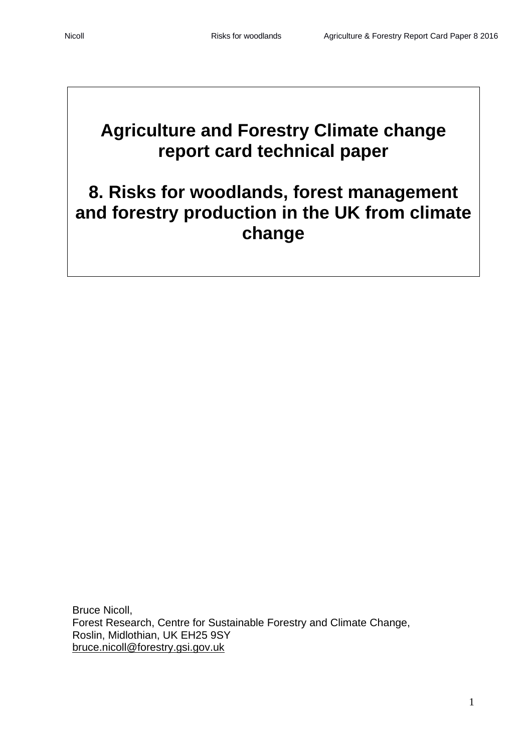# **Agriculture and Forestry Climate change report card technical paper**

# **8. Risks for woodlands, forest management and forestry production in the UK from climate change**

Bruce Nicoll, Forest Research, Centre for Sustainable Forestry and Climate Change, Roslin, Midlothian, UK EH25 9SY [bruce.nicoll@forestry.gsi.gov.uk](mailto:bruce.nicoll@forestry.gsi.gov.uk)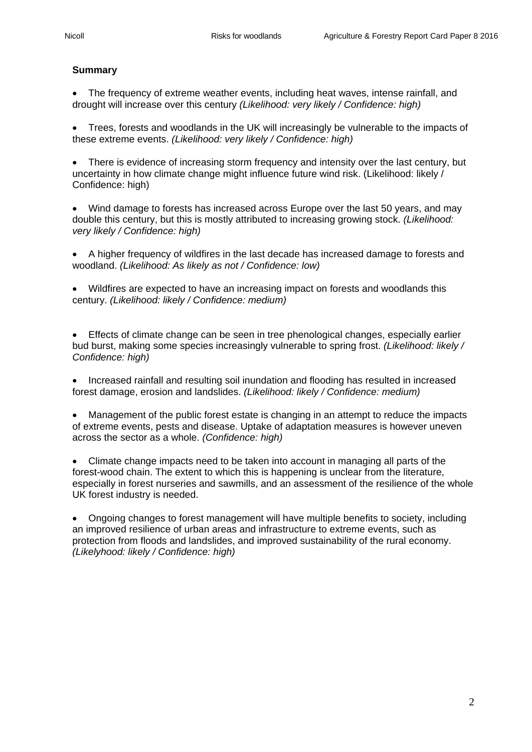# **Summary**

• The frequency of extreme weather events, including heat waves, intense rainfall, and drought will increase over this century *(Likelihood: very likely / Confidence: high)*

• Trees, forests and woodlands in the UK will increasingly be vulnerable to the impacts of these extreme events. *(Likelihood: very likely / Confidence: high)*

• There is evidence of increasing storm frequency and intensity over the last century, but uncertainty in how climate change might influence future wind risk. (Likelihood: likely / Confidence: high)

• Wind damage to forests has increased across Europe over the last 50 years, and may double this century, but this is mostly attributed to increasing growing stock. *(Likelihood: very likely / Confidence: high)*

• A higher frequency of wildfires in the last decade has increased damage to forests and woodland. *(Likelihood: As likely as not / Confidence: low)*

• Wildfires are expected to have an increasing impact on forests and woodlands this century. *(Likelihood: likely / Confidence: medium)*

• Effects of climate change can be seen in tree phenological changes, especially earlier bud burst, making some species increasingly vulnerable to spring frost. *(Likelihood: likely / Confidence: high)*

• Increased rainfall and resulting soil inundation and flooding has resulted in increased forest damage, erosion and landslides. *(Likelihood: likely / Confidence: medium)*

• Management of the public forest estate is changing in an attempt to reduce the impacts of extreme events, pests and disease. Uptake of adaptation measures is however uneven across the sector as a whole. *(Confidence: high)*

• Climate change impacts need to be taken into account in managing all parts of the forest-wood chain. The extent to which this is happening is unclear from the literature, especially in forest nurseries and sawmills, and an assessment of the resilience of the whole UK forest industry is needed.

• Ongoing changes to forest management will have multiple benefits to society, including an improved resilience of urban areas and infrastructure to extreme events, such as protection from floods and landslides, and improved sustainability of the rural economy. *(Likelyhood: likely / Confidence: high)*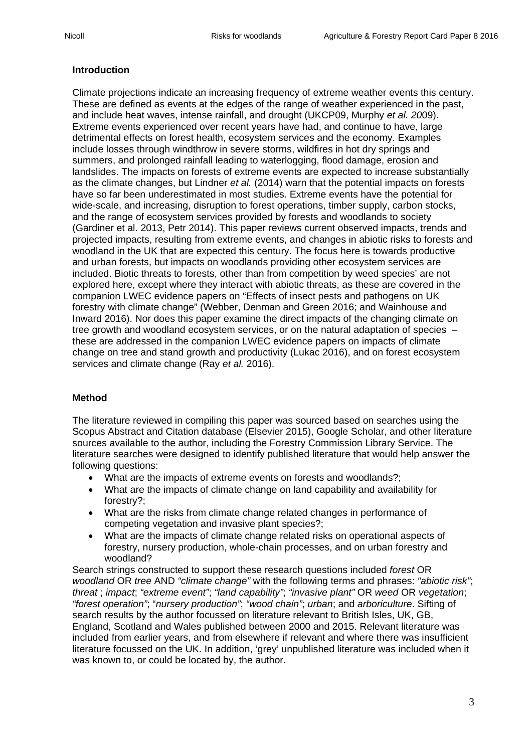## **Introduction**

Climate projections indicate an increasing frequency of extreme weather events this century. These are defined as events at the edges of the range of weather experienced in the past, and include heat waves, intense rainfall, and drought (UKCP09, Murphy *et al. 20*09). Extreme events experienced over recent years have had, and continue to have, large detrimental effects on forest health, ecosystem services and the economy. Examples include losses through windthrow in severe storms, wildfires in hot dry springs and summers, and prolonged rainfall leading to waterlogging, flood damage, erosion and landslides. The impacts on forests of extreme events are expected to increase substantially as the climate changes, but Lindner *et al.* (2014) warn that the potential impacts on forests have so far been underestimated in most studies. Extreme events have the potential for wide-scale, and increasing, disruption to forest operations, timber supply, carbon stocks, and the range of ecosystem services provided by forests and woodlands to society (Gardiner et al. 2013, Petr 2014). This paper reviews current observed impacts, trends and projected impacts, resulting from extreme events, and changes in abiotic risks to forests and woodland in the UK that are expected this century. The focus here is towards productive and urban forests, but impacts on woodlands providing other ecosystem services are included. Biotic threats to forests, other than from competition by weed species' are not explored here, except where they interact with abiotic threats, as these are covered in the companion LWEC evidence papers on "Effects of insect pests and pathogens on UK forestry with climate change" (Webber, Denman and Green 2016; and Wainhouse and Inward 2016). Nor does this paper examine the direct impacts of the changing climate on tree growth and woodland ecosystem services, or on the natural adaptation of species – these are addressed in the companion LWEC evidence papers on impacts of climate change on tree and stand growth and productivity (Lukac 2016), and on forest ecosystem services and climate change (Ray *et al.* 2016).

# **Method**

The literature reviewed in compiling this paper was sourced based on searches using the Scopus Abstract and Citation database (Elsevier 2015), Google Scholar, and other literature sources available to the author, including the Forestry Commission Library Service. The literature searches were designed to identify published literature that would help answer the following questions:

- What are the impacts of extreme events on forests and woodlands?;
- What are the impacts of climate change on land capability and availability for forestry?;
- What are the risks from climate change related changes in performance of competing vegetation and invasive plant species?;
- What are the impacts of climate change related risks on operational aspects of forestry, nursery production, whole-chain processes, and on urban forestry and woodland?

Search strings constructed to support these research questions included *forest* OR *woodland* OR *tree* AND *"climate change"* with the following terms and phrases: *"abiotic risk"*; *threat* ; *impact*; *"extreme event"*; *"land capability"*; *"invasive plant"* OR *weed* OR *vegetation*; *"forest operation"*; "*nursery production"*; *"wood chain"*; *urban*; and *arboriculture*. Sifting of search results by the author focussed on literature relevant to British Isles, UK, GB, England, Scotland and Wales published between 2000 and 2015. Relevant literature was included from earlier years, and from elsewhere if relevant and where there was insufficient literature focussed on the UK. In addition, 'grey' unpublished literature was included when it was known to, or could be located by, the author.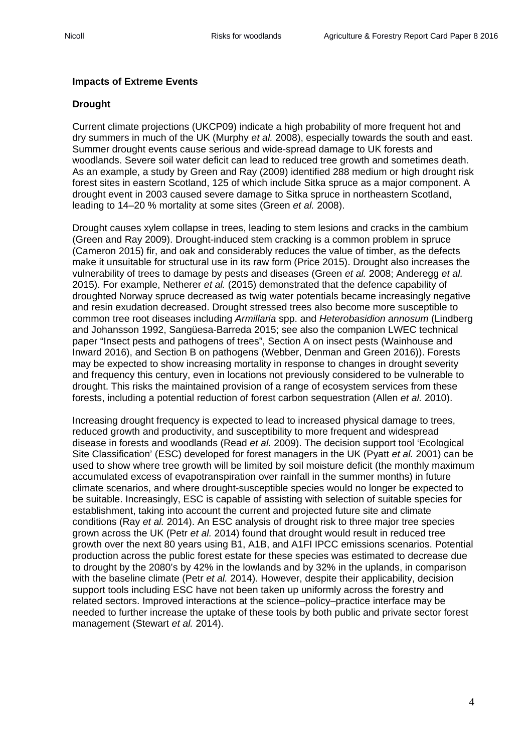## **Impacts of Extreme Events**

# **Drought**

Current climate projections (UKCP09) indicate a high probability of more frequent hot and dry summers in much of the UK (Murphy *et al.* 2008), especially towards the south and east. Summer drought events cause serious and wide-spread damage to UK forests and woodlands. Severe soil water deficit can lead to reduced tree growth and sometimes death. As an example, a study by Green and Ray (2009) identified 288 medium or high drought risk forest sites in eastern Scotland, 125 of which include Sitka spruce as a major component. A drought event in 2003 caused severe damage to Sitka spruce in northeastern Scotland, leading to 14–20 % mortality at some sites (Green *et al.* 2008).

Drought causes xylem collapse in trees, leading to stem lesions and cracks in the cambium (Green and Ray 2009). Drought-induced stem cracking is a common problem in spruce (Cameron 2015) fir, and oak and considerably reduces the value of timber, as the defects make it unsuitable for structural use in its raw form (Price 2015). Drought also increases the vulnerability of trees to damage by pests and diseases (Green *et al.* 2008; Anderegg *et al.*  2015). For example, Netherer *et al.* (2015) demonstrated that the defence capability of droughted Norway spruce decreased as twig water potentials became increasingly negative and resin exudation decreased. Drought stressed trees also become more susceptible to common tree root diseases including *Armillaria* spp. and *Heterobasidion annosum* (Lindberg and Johansson 1992, Sangüesa-Barreda 2015; see also the companion LWEC technical paper "Insect pests and pathogens of trees", Section A on insect pests (Wainhouse and Inward 2016), and Section B on pathogens (Webber, Denman and Green 2016)). Forests may be expected to show increasing mortality in response to changes in drought severity and frequency this century, even in locations not previously considered to be vulnerable to drought. This risks the maintained provision of a range of ecosystem services from these forests, including a potential reduction of forest carbon sequestration (Allen *et al.* 2010).

Increasing drought frequency is expected to lead to increased physical damage to trees, reduced growth and productivity, and susceptibility to more frequent and widespread disease in forests and woodlands (Read *et al.* 2009). The decision support tool 'Ecological Site Classification' (ESC) developed for forest managers in the UK (Pyatt *et al.* 2001) can be used to show where tree growth will be limited by soil moisture deficit (the monthly maximum accumulated excess of evapotranspiration over rainfall in the summer months) in future climate scenarios, and where drought-susceptible species would no longer be expected to be suitable. Increasingly, ESC is capable of assisting with selection of suitable species for establishment, taking into account the current and projected future site and climate conditions (Ray *et al.* 2014). An ESC analysis of drought risk to three major tree species grown across the UK (Petr *et al.* 2014) found that drought would result in reduced tree growth over the next 80 years using B1, A1B, and A1FI IPCC emissions scenarios. Potential production across the public forest estate for these species was estimated to decrease due to drought by the 2080's by 42% in the lowlands and by 32% in the uplands, in comparison with the baseline climate (Petr *et al.* 2014). However, despite their applicability, decision support tools including ESC have not been taken up uniformly across the forestry and related sectors. Improved interactions at the science–policy–practice interface may be needed to further increase the uptake of these tools by both public and private sector forest management (Stewart *et al.* 2014).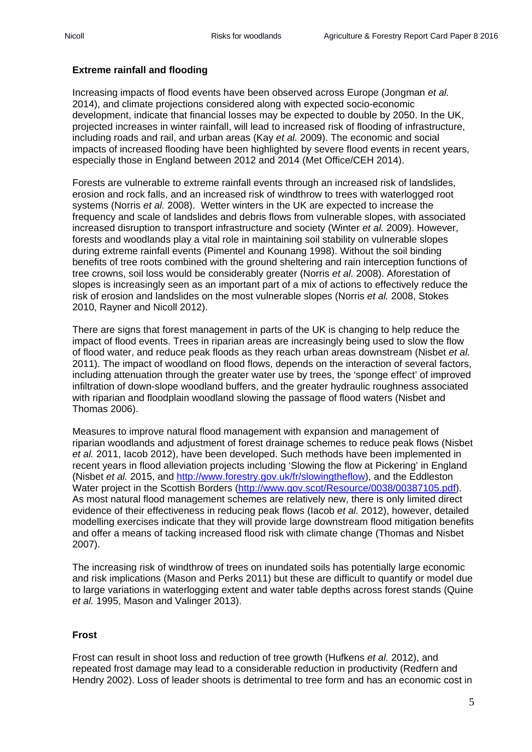# **Extreme rainfall and flooding**

Increasing impacts of flood events have been observed across Europe (Jongman *et al.*  2014), and climate projections considered along with expected socio-economic development, indicate that financial losses may be expected to double by 2050. In the UK, projected increases in winter rainfall, will lead to increased risk of flooding of infrastructure, including roads and rail, and urban areas (Kay *et al.* 2009). The economic and social impacts of increased flooding have been highlighted by severe flood events in recent years, especially those in England between 2012 and 2014 (Met Office/CEH 2014).

Forests are vulnerable to extreme rainfall events through an increased risk of landslides, erosion and rock falls, and an increased risk of windthrow to trees with waterlogged root systems (Norris *et al.* 2008). Wetter winters in the UK are expected to increase the frequency and scale of landslides and debris flows from vulnerable slopes, with associated increased disruption to transport infrastructure and society (Winter *et al.* 2009). However, forests and woodlands play a vital role in maintaining soil stability on vulnerable slopes during extreme rainfall events (Pimentel and Kounang 1998). Without the soil binding benefits of tree roots combined with the ground sheltering and rain interception functions of tree crowns, soil loss would be considerably greater (Norris *et al.* 2008). Aforestation of slopes is increasingly seen as an important part of a mix of actions to effectively reduce the risk of erosion and landslides on the most vulnerable slopes (Norris *et al.* 2008, Stokes 2010, Rayner and Nicoll 2012).

There are signs that forest management in parts of the UK is changing to help reduce the impact of flood events. Trees in riparian areas are increasingly being used to slow the flow of flood water, and reduce peak floods as they reach urban areas downstream (Nisbet *et al.*  2011). The impact of woodland on flood flows, depends on the interaction of several factors, including attenuation through the greater water use by trees, the 'sponge effect' of improved infiltration of down-slope woodland buffers, and the greater hydraulic roughness associated with riparian and floodplain woodland slowing the passage of flood waters (Nisbet and Thomas 2006).

Measures to improve natural flood management with expansion and management of riparian woodlands and adjustment of forest drainage schemes to reduce peak flows (Nisbet *et al.* 2011, Iacob 2012), have been developed. Such methods have been implemented in recent years in flood alleviation projects including 'Slowing the flow at Pickering' in England (Nisbet *et al.* 2015, and [http://www.forestry.gov.uk/fr/slowingtheflow\)](http://www.forestry.gov.uk/fr/slowingtheflow), and the Eddleston Water project in the Scottish Borders [\(http://www.gov.scot/Resource/0038/00387105.pdf\)](http://www.gov.scot/Resource/0038/00387105.pdf). As most natural flood management schemes are relatively new, there is only limited direct evidence of their effectiveness in reducing peak flows (Iacob *et al.* 2012), however, detailed modelling exercises indicate that they will provide large downstream flood mitigation benefits and offer a means of tacking increased flood risk with climate change (Thomas and Nisbet 2007).

The increasing risk of windthrow of trees on inundated soils has potentially large economic and risk implications (Mason and Perks 2011) but these are difficult to quantify or model due to large variations in waterlogging extent and water table depths across forest stands (Quine *et al.* 1995, Mason and Valinger 2013).

#### **Frost**

Frost can result in shoot loss and reduction of tree growth (Hufkens *et al.* 2012), and repeated frost damage may lead to a considerable reduction in productivity (Redfern and Hendry 2002). Loss of leader shoots is detrimental to tree form and has an economic cost in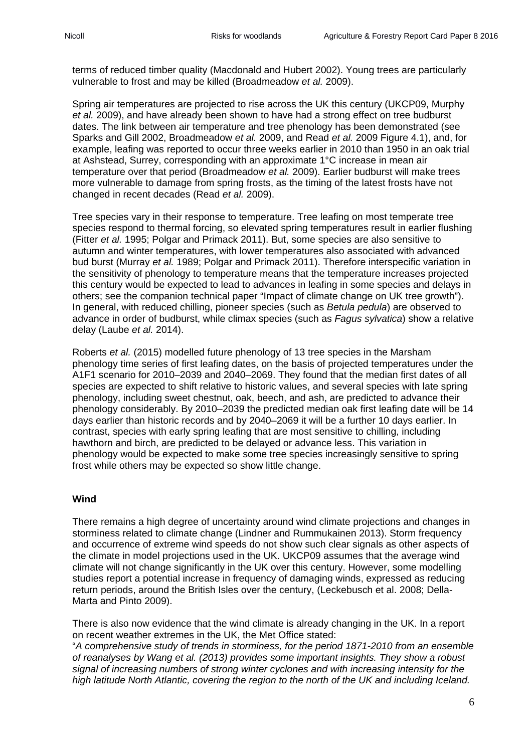terms of reduced timber quality (Macdonald and Hubert 2002). Young trees are particularly vulnerable to frost and may be killed (Broadmeadow *et al.* 2009).

Spring air temperatures are projected to rise across the UK this century (UKCP09, Murphy *et al.* 2009), and have already been shown to have had a strong effect on tree budburst dates. The link between air temperature and tree phenology has been demonstrated (see Sparks and Gill 2002, Broadmeadow *et al.* 2009, and Read *et al.* 2009 Figure 4.1), and, for example, leafing was reported to occur three weeks earlier in 2010 than 1950 in an oak trial at Ashstead, Surrey, corresponding with an approximate 1°C increase in mean air temperature over that period (Broadmeadow *et al.* 2009). Earlier budburst will make trees more vulnerable to damage from spring frosts, as the timing of the latest frosts have not changed in recent decades (Read *et al.* 2009).

Tree species vary in their response to temperature. Tree leafing on most temperate tree species respond to thermal forcing, so elevated spring temperatures result in earlier flushing (Fitter *et al.* 1995; Polgar and Primack 2011). But, some species are also sensitive to autumn and winter temperatures, with lower temperatures also associated with advanced bud burst (Murray *et al.* 1989; Polgar and Primack 2011). Therefore interspecific variation in the sensitivity of phenology to temperature means that the temperature increases projected this century would be expected to lead to advances in leafing in some species and delays in others; see the companion technical paper "Impact of climate change on UK tree growth"). In general, with reduced chilling, pioneer species (such as *Betula pedula*) are observed to advance in order of budburst, while climax species (such as *Fagus sylvatica*) show a relative delay (Laube *et al.* 2014).

Roberts *et al.* (2015) modelled future phenology of 13 tree species in the Marsham phenology time series of first leafing dates, on the basis of projected temperatures under the A1F1 scenario for 2010–2039 and 2040–2069. They found that the median first dates of all species are expected to shift relative to historic values, and several species with late spring phenology, including sweet chestnut, oak, beech, and ash, are predicted to advance their phenology considerably. By 2010–2039 the predicted median oak first leafing date will be 14 days earlier than historic records and by 2040–2069 it will be a further 10 days earlier. In contrast, species with early spring leafing that are most sensitive to chilling, including hawthorn and birch, are predicted to be delayed or advance less. This variation in phenology would be expected to make some tree species increasingly sensitive to spring frost while others may be expected so show little change.

#### **Wind**

There remains a high degree of uncertainty around wind climate projections and changes in storminess related to climate change (Lindner and Rummukainen 2013). Storm frequency and occurrence of extreme wind speeds do not show such clear signals as other aspects of the climate in model projections used in the UK. UKCP09 assumes that the average wind climate will not change significantly in the UK over this century. However, some modelling studies report a potential increase in frequency of damaging winds, expressed as reducing return periods, around the British Isles over the century, (Leckebusch et al. 2008; Della-Marta and Pinto 2009).

There is also now evidence that the wind climate is already changing in the UK. In a report on recent weather extremes in the UK, the Met Office stated:

"*A comprehensive study of trends in storminess, for the period 1871-2010 from an ensemble of reanalyses by Wang et al. (2013) provides some important insights. They show a robust signal of increasing numbers of strong winter cyclones and with increasing intensity for the high latitude North Atlantic, covering the region to the north of the UK and including Iceland.*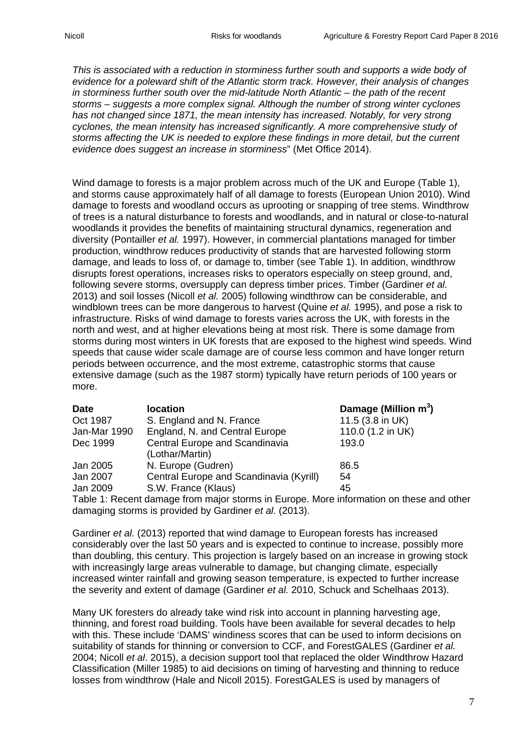*This is associated with a reduction in storminess further south and supports a wide body of evidence for a poleward shift of the Atlantic storm track. However, their analysis of changes in storminess further south over the mid-latitude North Atlantic – the path of the recent storms – suggests a more complex signal. Although the number of strong winter cyclones has not changed since 1871, the mean intensity has increased. Notably, for very strong cyclones, the mean intensity has increased significantly. A more comprehensive study of storms affecting the UK is needed to explore these findings in more detail, but the current evidence does suggest an increase in storminess*" (Met Office 2014).

Wind damage to forests is a major problem across much of the UK and Europe (Table 1), and storms cause approximately half of all damage to forests (European Union 2010). Wind damage to forests and woodland occurs as uprooting or snapping of tree stems. Windthrow of trees is a natural disturbance to forests and woodlands, and in natural or close-to-natural woodlands it provides the benefits of maintaining structural dynamics, regeneration and diversity (Pontailler *et al.* 1997). However, in commercial plantations managed for timber production, windthrow reduces productivity of stands that are harvested following storm damage, and leads to loss of, or damage to, timber (see Table 1). In addition, windthrow disrupts forest operations, increases risks to operators especially on steep ground, and, following severe storms, oversupply can depress timber prices. Timber (Gardiner *et al.*  2013) and soil losses (Nicoll *et al.* 2005) following windthrow can be considerable, and windblown trees can be more dangerous to harvest (Quine *et al.* 1995), and pose a risk to infrastructure. Risks of wind damage to forests varies across the UK, with forests in the north and west, and at higher elevations being at most risk. There is some damage from storms during most winters in UK forests that are exposed to the highest wind speeds. Wind speeds that cause wider scale damage are of course less common and have longer return periods between occurrence, and the most extreme, catastrophic storms that cause extensive damage (such as the 1987 storm) typically have return periods of 100 years or more.

| <b>Date</b>                                                                             | <b>location</b>                         | Damage (Million m <sup>3</sup> ) |  |  |
|-----------------------------------------------------------------------------------------|-----------------------------------------|----------------------------------|--|--|
| Oct 1987                                                                                | S. England and N. France                | 11.5 (3.8 in UK)                 |  |  |
| Jan-Mar 1990                                                                            | England, N. and Central Europe          | 110.0 (1.2 in UK)                |  |  |
| Dec 1999                                                                                | Central Europe and Scandinavia          | 193.0                            |  |  |
|                                                                                         | (Lothar/Martin)                         |                                  |  |  |
| Jan 2005                                                                                | N. Europe (Gudren)                      | 86.5                             |  |  |
| Jan 2007                                                                                | Central Europe and Scandinavia (Kyrill) | 54                               |  |  |
| Jan 2009                                                                                | S.W. France (Klaus)                     | 45                               |  |  |
| Table 1: Recent damage from major storms in Europe. More information on these and other |                                         |                                  |  |  |

damaging storms is provided by Gardiner *et al.* (2013).

Gardiner *et al.* (2013) reported that wind damage to European forests has increased considerably over the last 50 years and is expected to continue to increase, possibly more than doubling, this century. This projection is largely based on an increase in growing stock with increasingly large areas vulnerable to damage, but changing climate, especially increased winter rainfall and growing season temperature, is expected to further increase the severity and extent of damage (Gardiner *et al.* 2010, Schuck and Schelhaas 2013).

Many UK foresters do already take wind risk into account in planning harvesting age, thinning, and forest road building. Tools have been available for several decades to help with this. These include 'DAMS' windiness scores that can be used to inform decisions on suitability of stands for thinning or conversion to CCF, and ForestGALES (Gardiner *et al.*  2004; Nicoll *et al*. 2015), a decision support tool that replaced the older Windthrow Hazard Classification (Miller 1985) to aid decisions on timing of harvesting and thinning to reduce losses from windthrow (Hale and Nicoll 2015). ForestGALES is used by managers of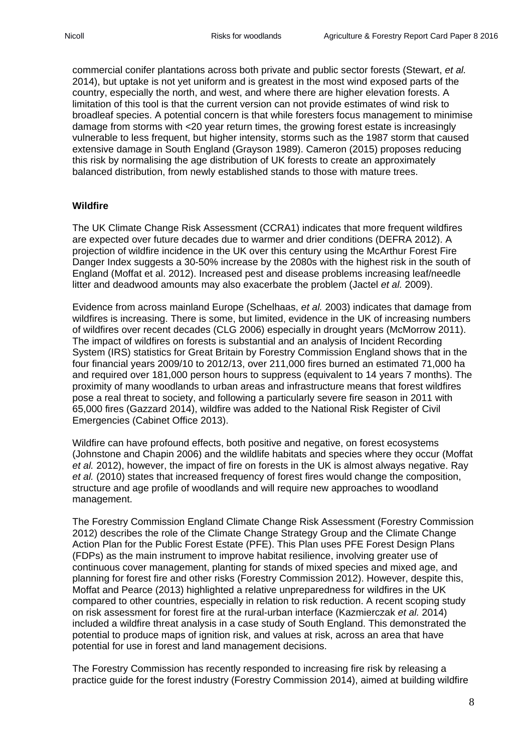commercial conifer plantations across both private and public sector forests (Stewart, *et al.* 2014), but uptake is not yet uniform and is greatest in the most wind exposed parts of the country, especially the north, and west, and where there are higher elevation forests. A limitation of this tool is that the current version can not provide estimates of wind risk to broadleaf species. A potential concern is that while foresters focus management to minimise damage from storms with <20 year return times, the growing forest estate is increasingly vulnerable to less frequent, but higher intensity, storms such as the 1987 storm that caused extensive damage in South England (Grayson 1989). Cameron (2015) proposes reducing this risk by normalising the age distribution of UK forests to create an approximately balanced distribution, from newly established stands to those with mature trees.

#### **Wildfire**

The UK Climate Change Risk Assessment (CCRA1) indicates that more frequent wildfires are expected over future decades due to warmer and drier conditions (DEFRA 2012). A projection of wildfire incidence in the UK over this century using the McArthur Forest Fire Danger Index suggests a 30-50% increase by the 2080s with the highest risk in the south of England (Moffat et al. 2012). Increased pest and disease problems increasing leaf/needle litter and deadwood amounts may also exacerbate the problem (Jactel *et al.* 2009).

Evidence from across mainland Europe (Schelhaas, *et al.* 2003) indicates that damage from wildfires is increasing. There is some, but limited, evidence in the UK of increasing numbers of wildfires over recent decades (CLG 2006) especially in drought years (McMorrow 2011). The impact of wildfires on forests is substantial and an analysis of Incident Recording System (IRS) statistics for Great Britain by Forestry Commission England shows that in the four financial years 2009/10 to 2012/13, over 211,000 fires burned an estimated 71,000 ha and required over 181,000 person hours to suppress (equivalent to 14 years 7 months). The proximity of many woodlands to urban areas and infrastructure means that forest wildfires pose a real threat to society, and following a particularly severe fire season in 2011 with 65,000 fires (Gazzard 2014), wildfire was added to the National Risk Register of Civil Emergencies (Cabinet Office 2013).

Wildfire can have profound effects, both positive and negative, on forest ecosystems (Johnstone and Chapin 2006) and the wildlife habitats and species where they occur (Moffat *et al.* 2012), however, the impact of fire on forests in the UK is almost always negative. Ray *et al.* (2010) states that increased frequency of forest fires would change the composition, structure and age profile of woodlands and will require new approaches to woodland management.

The Forestry Commission England Climate Change Risk Assessment (Forestry Commission 2012) describes the role of the Climate Change Strategy Group and the Climate Change Action Plan for the Public Forest Estate (PFE). This Plan uses PFE Forest Design Plans (FDPs) as the main instrument to improve habitat resilience, involving greater use of continuous cover management, planting for stands of mixed species and mixed age, and planning for forest fire and other risks (Forestry Commission 2012). However, despite this, Moffat and Pearce (2013) highlighted a relative unpreparedness for wildfires in the UK compared to other countries, especially in relation to risk reduction. A recent scoping study on risk assessment for forest fire at the rural-urban interface (Kazmierczak *et al.* 2014) included a wildfire threat analysis in a case study of South England. This demonstrated the potential to produce maps of ignition risk, and values at risk, across an area that have potential for use in forest and land management decisions.

The Forestry Commission has recently responded to increasing fire risk by releasing a practice guide for the forest industry (Forestry Commission 2014), aimed at building wildfire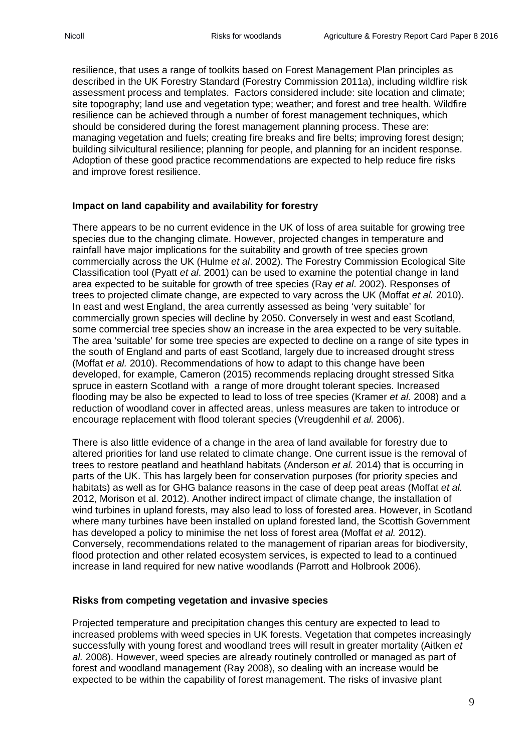resilience, that uses a range of toolkits based on Forest Management Plan principles as described in the UK Forestry Standard (Forestry Commission 2011a), including wildfire risk assessment process and templates. Factors considered include: site location and climate; site topography; land use and vegetation type; weather; and forest and tree health. Wildfire resilience can be achieved through a number of forest management techniques, which should be considered during the forest management planning process. These are: managing vegetation and fuels; creating fire breaks and fire belts; improving forest design; building silvicultural resilience; planning for people, and planning for an incident response. Adoption of these good practice recommendations are expected to help reduce fire risks and improve forest resilience.

#### **Impact on land capability and availability for forestry**

There appears to be no current evidence in the UK of loss of area suitable for growing tree species due to the changing climate. However, projected changes in temperature and rainfall have major implications for the suitability and growth of tree species grown commercially across the UK (Hulme *et al*. 2002). The Forestry Commission Ecological Site Classification tool (Pyatt *et al*. 2001) can be used to examine the potential change in land area expected to be suitable for growth of tree species (Ray *et al*. 2002). Responses of trees to projected climate change, are expected to vary across the UK (Moffat *et al.* 2010). In east and west England, the area currently assessed as being 'very suitable' for commercially grown species will decline by 2050. Conversely in west and east Scotland, some commercial tree species show an increase in the area expected to be very suitable. The area 'suitable' for some tree species are expected to decline on a range of site types in the south of England and parts of east Scotland, largely due to increased drought stress (Moffat *et al.* 2010). Recommendations of how to adapt to this change have been developed, for example, Cameron (2015) recommends replacing drought stressed Sitka spruce in eastern Scotland with a range of more drought tolerant species. Increased flooding may be also be expected to lead to loss of tree species (Kramer *et al.* 2008) and a reduction of woodland cover in affected areas, unless measures are taken to introduce or encourage replacement with flood tolerant species (Vreugdenhil *et al.* 2006).

There is also little evidence of a change in the area of land available for forestry due to altered priorities for land use related to climate change. One current issue is the removal of trees to restore peatland and heathland habitats (Anderson *et al.* 2014) that is occurring in parts of the UK. This has largely been for conservation purposes (for priority species and habitats) as well as for GHG balance reasons in the case of deep peat areas (Moffat *et al.*  2012, Morison et al. 2012). Another indirect impact of climate change, the installation of wind turbines in upland forests, may also lead to loss of forested area. However, in Scotland where many turbines have been installed on upland forested land, the Scottish Government has developed a policy to minimise the net loss of forest area (Moffat *et al.* 2012). Conversely, recommendations related to the management of riparian areas for biodiversity, flood protection and other related ecosystem services, is expected to lead to a continued increase in land required for new native woodlands (Parrott and Holbrook 2006).

#### **Risks from competing vegetation and invasive species**

Projected temperature and precipitation changes this century are expected to lead to increased problems with weed species in UK forests. Vegetation that competes increasingly successfully with young forest and woodland trees will result in greater mortality (Aitken *et al.* 2008). However, weed species are already routinely controlled or managed as part of forest and woodland management (Ray 2008), so dealing with an increase would be expected to be within the capability of forest management. The risks of invasive plant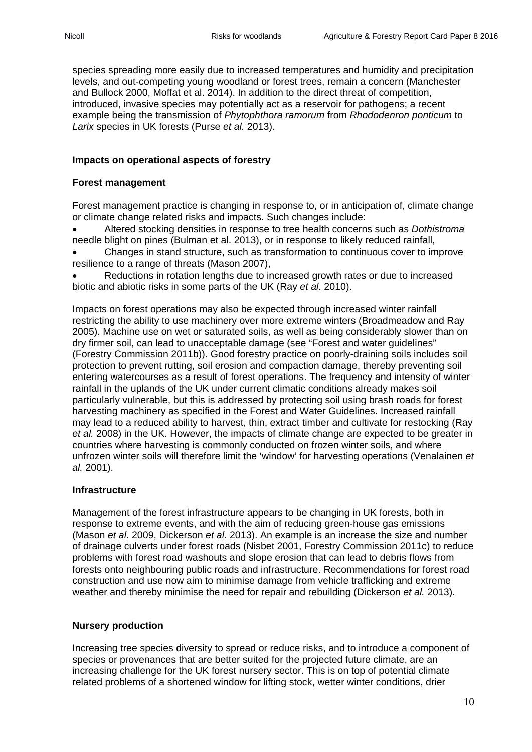species spreading more easily due to increased temperatures and humidity and precipitation levels, and out-competing young woodland or forest trees, remain a concern (Manchester and Bullock 2000, Moffat et al. 2014). In addition to the direct threat of competition, introduced, invasive species may potentially act as a reservoir for pathogens; a recent example being the transmission of *Phytophthora ramorum* from *Rhododenron ponticum* to *Larix* species in UK forests (Purse *et al.* 2013).

## **Impacts on operational aspects of forestry**

#### **Forest management**

Forest management practice is changing in response to, or in anticipation of, climate change or climate change related risks and impacts. Such changes include:

• Altered stocking densities in response to tree health concerns such as *Dothistroma* needle blight on pines (Bulman et al. 2013), or in response to likely reduced rainfall,

• Changes in stand structure, such as transformation to continuous cover to improve resilience to a range of threats (Mason 2007),

Reductions in rotation lengths due to increased growth rates or due to increased biotic and abiotic risks in some parts of the UK (Ray *et al.* 2010).

Impacts on forest operations may also be expected through increased winter rainfall restricting the ability to use machinery over more extreme winters (Broadmeadow and Ray 2005). Machine use on wet or saturated soils, as well as being considerably slower than on dry firmer soil, can lead to unacceptable damage (see "Forest and water guidelines" (Forestry Commission 2011b)). Good forestry practice on poorly-draining soils includes soil protection to prevent rutting, soil erosion and compaction damage, thereby preventing soil entering watercourses as a result of forest operations. The frequency and intensity of winter rainfall in the uplands of the UK under current climatic conditions already makes soil particularly vulnerable, but this is addressed by protecting soil using brash roads for forest harvesting machinery as specified in the Forest and Water Guidelines. Increased rainfall may lead to a reduced ability to harvest, thin, extract timber and cultivate for restocking (Ray *et al.* 2008) in the UK. However, the impacts of climate change are expected to be greater in countries where harvesting is commonly conducted on frozen winter soils, and where unfrozen winter soils will therefore limit the 'window' for harvesting operations (Venalainen *et al.* 2001).

#### **Infrastructure**

Management of the forest infrastructure appears to be changing in UK forests, both in response to extreme events, and with the aim of reducing green-house gas emissions (Mason *et al*. 2009, Dickerson *et al*. 2013). An example is an increase the size and number of drainage culverts under forest roads (Nisbet 2001, Forestry Commission 2011c) to reduce problems with forest road washouts and slope erosion that can lead to debris flows from forests onto neighbouring public roads and infrastructure. Recommendations for forest road construction and use now aim to minimise damage from vehicle trafficking and extreme weather and thereby minimise the need for repair and rebuilding (Dickerson *et al.* 2013).

#### **Nursery production**

Increasing tree species diversity to spread or reduce risks, and to introduce a component of species or provenances that are better suited for the projected future climate, are an increasing challenge for the UK forest nursery sector. This is on top of potential climate related problems of a shortened window for lifting stock, wetter winter conditions, drier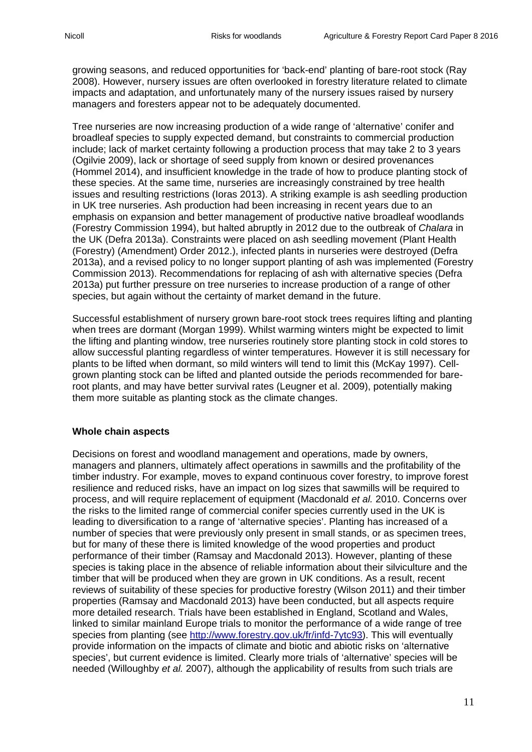growing seasons, and reduced opportunities for 'back-end' planting of bare-root stock (Ray 2008). However, nursery issues are often overlooked in forestry literature related to climate impacts and adaptation, and unfortunately many of the nursery issues raised by nursery managers and foresters appear not to be adequately documented.

Tree nurseries are now increasing production of a wide range of 'alternative' conifer and broadleaf species to supply expected demand, but constraints to commercial production include; lack of market certainty following a production process that may take 2 to 3 years (Ogilvie 2009), lack or shortage of seed supply from known or desired provenances (Hommel 2014), and insufficient knowledge in the trade of how to produce planting stock of these species. At the same time, nurseries are increasingly constrained by tree health issues and resulting restrictions (Ioras 2013). A striking example is ash seedling production in UK tree nurseries. Ash production had been increasing in recent years due to an emphasis on expansion and better management of productive native broadleaf woodlands (Forestry Commission 1994), but halted abruptly in 2012 due to the outbreak of *Chalara* in the UK (Defra 2013a). Constraints were placed on ash seedling movement (Plant Health (Forestry) (Amendment) Order 2012.), infected plants in nurseries were destroyed (Defra 2013a), and a revised policy to no longer support planting of ash was implemented (Forestry Commission 2013). Recommendations for replacing of ash with alternative species (Defra 2013a) put further pressure on tree nurseries to increase production of a range of other species, but again without the certainty of market demand in the future.

Successful establishment of nursery grown bare-root stock trees requires lifting and planting when trees are dormant (Morgan 1999). Whilst warming winters might be expected to limit the lifting and planting window, tree nurseries routinely store planting stock in cold stores to allow successful planting regardless of winter temperatures. However it is still necessary for plants to be lifted when dormant, so mild winters will tend to limit this (McKay 1997). Cellgrown planting stock can be lifted and planted outside the periods recommended for bareroot plants, and may have better survival rates (Leugner et al. 2009), potentially making them more suitable as planting stock as the climate changes.

#### **Whole chain aspects**

Decisions on forest and woodland management and operations, made by owners, managers and planners, ultimately affect operations in sawmills and the profitability of the timber industry. For example, moves to expand continuous cover forestry, to improve forest resilience and reduced risks, have an impact on log sizes that sawmills will be required to process, and will require replacement of equipment (Macdonald *et al.* 2010. Concerns over the risks to the limited range of commercial conifer species currently used in the UK is leading to diversification to a range of 'alternative species'. Planting has increased of a number of species that were previously only present in small stands, or as specimen trees, but for many of these there is limited knowledge of the wood properties and product performance of their timber (Ramsay and Macdonald 2013). However, planting of these species is taking place in the absence of reliable information about their silviculture and the timber that will be produced when they are grown in UK conditions. As a result, recent reviews of suitability of these species for productive forestry (Wilson 2011) and their timber properties (Ramsay and Macdonald 2013) have been conducted, but all aspects require more detailed research. Trials have been established in England, Scotland and Wales, linked to similar mainland Europe trials to monitor the performance of a wide range of tree species from planting (see [http://www.forestry.gov.uk/fr/infd-7ytc93\)](http://www.forestry.gov.uk/fr/infd-7ytc93). This will eventually provide information on the impacts of climate and biotic and abiotic risks on 'alternative species', but current evidence is limited. Clearly more trials of 'alternative' species will be needed (Willoughby *et al.* 2007), although the applicability of results from such trials are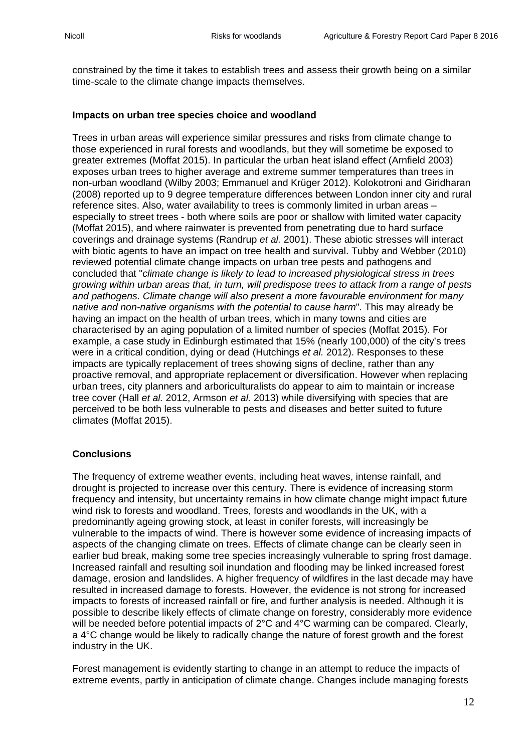constrained by the time it takes to establish trees and assess their growth being on a similar time-scale to the climate change impacts themselves.

#### **Impacts on urban tree species choice and woodland**

Trees in urban areas will experience similar pressures and risks from climate change to those experienced in rural forests and woodlands, but they will sometime be exposed to greater extremes (Moffat 2015). In particular the urban heat island effect (Arnfield 2003) exposes urban trees to higher average and extreme summer temperatures than trees in non-urban woodland (Wilby 2003; Emmanuel and Krüger 2012). Kolokotroni and Giridharan (2008) reported up to 9 degree temperature differences between London inner city and rural reference sites. Also, water availability to trees is commonly limited in urban areas – especially to street trees - both where soils are poor or shallow with limited water capacity (Moffat 2015), and where rainwater is prevented from penetrating due to hard surface coverings and drainage systems (Randrup *et al.* 2001). These abiotic stresses will interact with biotic agents to have an impact on tree health and survival. Tubby and Webber (2010) reviewed potential climate change impacts on urban tree pests and pathogens and concluded that "*climate change is likely to lead to increased physiological stress in trees growing within urban areas that, in turn, will predispose trees to attack from a range of pests and pathogens. Climate change will also present a more favourable environment for many native and non-native organisms with the potential to cause harm*". This may already be having an impact on the health of urban trees, which in many towns and cities are characterised by an aging population of a limited number of species (Moffat 2015). For example, a case study in Edinburgh estimated that 15% (nearly 100,000) of the city's trees were in a critical condition, dying or dead (Hutchings *et al.* 2012). Responses to these impacts are typically replacement of trees showing signs of decline, rather than any proactive removal, and appropriate replacement or diversification. However when replacing urban trees, city planners and arboriculturalists do appear to aim to maintain or increase tree cover (Hall *et al.* 2012, Armson *et al.* 2013) while diversifying with species that are perceived to be both less vulnerable to pests and diseases and better suited to future climates (Moffat 2015).

#### **Conclusions**

The frequency of extreme weather events, including heat waves, intense rainfall, and drought is projected to increase over this century. There is evidence of increasing storm frequency and intensity, but uncertainty remains in how climate change might impact future wind risk to forests and woodland. Trees, forests and woodlands in the UK, with a predominantly ageing growing stock, at least in conifer forests, will increasingly be vulnerable to the impacts of wind. There is however some evidence of increasing impacts of aspects of the changing climate on trees. Effects of climate change can be clearly seen in earlier bud break, making some tree species increasingly vulnerable to spring frost damage. Increased rainfall and resulting soil inundation and flooding may be linked increased forest damage, erosion and landslides. A higher frequency of wildfires in the last decade may have resulted in increased damage to forests. However, the evidence is not strong for increased impacts to forests of increased rainfall or fire, and further analysis is needed. Although it is possible to describe likely effects of climate change on forestry, considerably more evidence will be needed before potential impacts of 2°C and 4°C warming can be compared. Clearly, a 4°C change would be likely to radically change the nature of forest growth and the forest industry in the UK.

Forest management is evidently starting to change in an attempt to reduce the impacts of extreme events, partly in anticipation of climate change. Changes include managing forests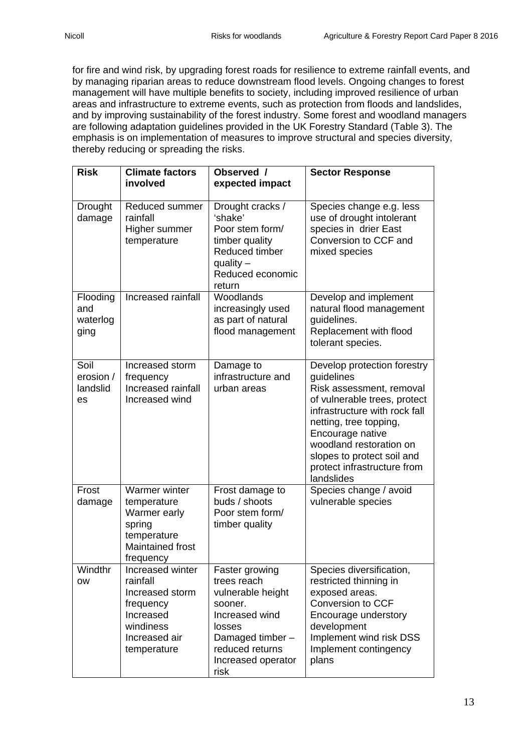for fire and wind risk, by upgrading forest roads for resilience to extreme rainfall events, and by managing riparian areas to reduce downstream flood levels. Ongoing changes to forest management will have multiple benefits to society, including improved resilience of urban areas and infrastructure to extreme events, such as protection from floods and landslides, and by improving sustainability of the forest industry. Some forest and woodland managers are following adaptation guidelines provided in the UK Forestry Standard (Table 3). The emphasis is on implementation of measures to improve structural and species diversity, thereby reducing or spreading the risks.

| <b>Risk</b>                         | <b>Climate factors</b><br>involved                                                                                     | Observed /<br>expected impact                                                                                                                                 | <b>Sector Response</b>                                                                                                                                                                                                                                                                     |
|-------------------------------------|------------------------------------------------------------------------------------------------------------------------|---------------------------------------------------------------------------------------------------------------------------------------------------------------|--------------------------------------------------------------------------------------------------------------------------------------------------------------------------------------------------------------------------------------------------------------------------------------------|
| Drought<br>damage                   | Reduced summer<br>rainfall<br>Higher summer<br>temperature                                                             | Drought cracks /<br>'shake'<br>Poor stem form/<br>timber quality<br><b>Reduced timber</b><br>quality $-$<br>Reduced economic<br>return                        | Species change e.g. less<br>use of drought intolerant<br>species in drier East<br>Conversion to CCF and<br>mixed species                                                                                                                                                                   |
| Flooding<br>and<br>waterlog<br>ging | Increased rainfall                                                                                                     | Woodlands<br>increasingly used<br>as part of natural<br>flood management                                                                                      | Develop and implement<br>natural flood management<br>guidelines.<br>Replacement with flood<br>tolerant species.                                                                                                                                                                            |
| Soil<br>erosion /<br>landslid<br>es | Increased storm<br>frequency<br>Increased rainfall<br>Increased wind                                                   | Damage to<br>infrastructure and<br>urban areas                                                                                                                | Develop protection forestry<br>guidelines<br>Risk assessment, removal<br>of vulnerable trees, protect<br>infrastructure with rock fall<br>netting, tree topping,<br>Encourage native<br>woodland restoration on<br>slopes to protect soil and<br>protect infrastructure from<br>landslides |
| Frost<br>damage                     | Warmer winter<br>temperature<br>Warmer early<br>spring<br>temperature<br><b>Maintained frost</b><br>frequency          | Frost damage to<br>buds / shoots<br>Poor stem form/<br>timber quality                                                                                         | Species change / avoid<br>vulnerable species                                                                                                                                                                                                                                               |
| Windthr<br><b>OW</b>                | Increased winter<br>rainfall<br>Increased storm<br>frequency<br>Increased<br>windiness<br>Increased air<br>temperature | Faster growing<br>trees reach<br>vulnerable height<br>sooner.<br>Increased wind<br>losses<br>Damaged timber-<br>reduced returns<br>Increased operator<br>risk | Species diversification,<br>restricted thinning in<br>exposed areas.<br>Conversion to CCF<br>Encourage understory<br>development<br>Implement wind risk DSS<br>Implement contingency<br>plans                                                                                              |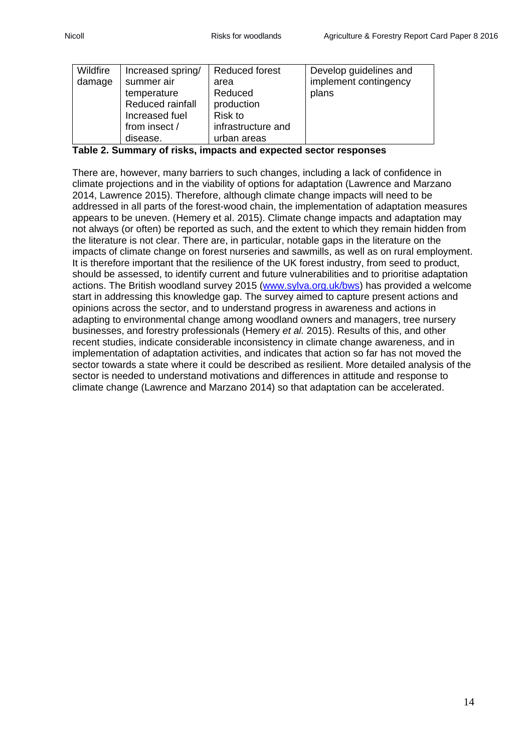| Wildfire | Increased spring/ | Reduced forest     | Develop guidelines and |
|----------|-------------------|--------------------|------------------------|
| damage   | summer air        | area               | implement contingency  |
|          | temperature       | Reduced            | plans                  |
|          | Reduced rainfall  | production         |                        |
|          | Increased fuel    | <b>Risk to</b>     |                        |
|          | from insect /     | infrastructure and |                        |
|          | disease.          | urban areas        |                        |

**Table 2. Summary of risks, impacts and expected sector responses**

There are, however, many barriers to such changes, including a lack of confidence in climate projections and in the viability of options for adaptation (Lawrence and Marzano 2014, Lawrence 2015). Therefore, although climate change impacts will need to be addressed in all parts of the forest-wood chain, the implementation of adaptation measures appears to be uneven. (Hemery et al. 2015). Climate change impacts and adaptation may not always (or often) be reported as such, and the extent to which they remain hidden from the literature is not clear. There are, in particular, notable gaps in the literature on the impacts of climate change on forest nurseries and sawmills, as well as on rural employment. It is therefore important that the resilience of the UK forest industry, from seed to product, should be assessed, to identify current and future vulnerabilities and to prioritise adaptation actions. The British woodland survey 2015 [\(www.sylva.org.uk/bws\)](http://www.sylva.org.uk/bws) has provided a welcome start in addressing this knowledge gap. The survey aimed to capture present actions and opinions across the sector, and to understand progress in awareness and actions in adapting to environmental change among woodland owners and managers, tree nursery businesses, and forestry professionals (Hemery *et al.* 2015). Results of this, and other recent studies, indicate considerable inconsistency in climate change awareness, and in implementation of adaptation activities, and indicates that action so far has not moved the sector towards a state where it could be described as resilient. More detailed analysis of the sector is needed to understand motivations and differences in attitude and response to climate change (Lawrence and Marzano 2014) so that adaptation can be accelerated.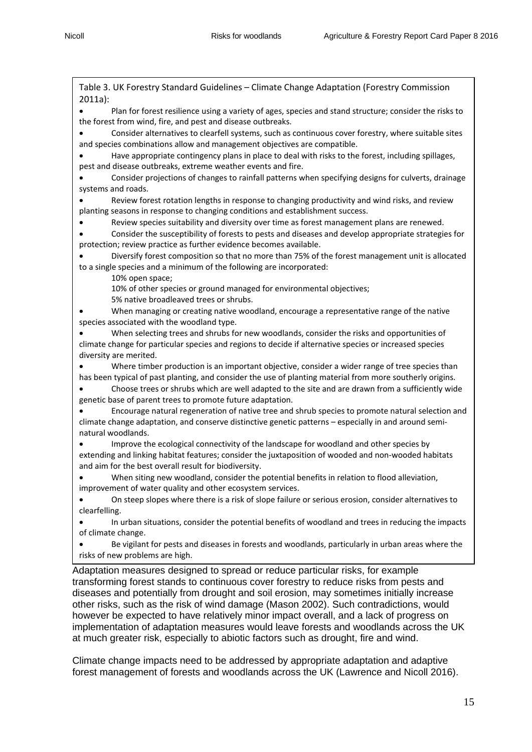Table 3. UK Forestry Standard Guidelines – Climate Change Adaptation (Forestry Commission 2011a):

Plan for forest resilience using a variety of ages, species and stand structure; consider the risks to the forest from wind, fire, and pest and disease outbreaks.

• Consider alternatives to clearfell systems, such as continuous cover forestry, where suitable sites and species combinations allow and management objectives are compatible.

• Have appropriate contingency plans in place to deal with risks to the forest, including spillages, pest and disease outbreaks, extreme weather events and fire.

• Consider projections of changes to rainfall patterns when specifying designs for culverts, drainage systems and roads.

• Review forest rotation lengths in response to changing productivity and wind risks, and review planting seasons in response to changing conditions and establishment success.

• Review species suitability and diversity over time as forest management plans are renewed.

• Consider the susceptibility of forests to pests and diseases and develop appropriate strategies for protection; review practice as further evidence becomes available.

• Diversify forest composition so that no more than 75% of the forest management unit is allocated to a single species and a minimum of the following are incorporated:

10% open space;

10% of other species or ground managed for environmental objectives;

5% native broadleaved trees or shrubs.

• When managing or creating native woodland, encourage a representative range of the native species associated with the woodland type.

• When selecting trees and shrubs for new woodlands, consider the risks and opportunities of climate change for particular species and regions to decide if alternative species or increased species diversity are merited.

Where timber production is an important objective, consider a wider range of tree species than has been typical of past planting, and consider the use of planting material from more southerly origins.

• Choose trees or shrubs which are well adapted to the site and are drawn from a sufficiently wide genetic base of parent trees to promote future adaptation.

• Encourage natural regeneration of native tree and shrub species to promote natural selection and climate change adaptation, and conserve distinctive genetic patterns – especially in and around seminatural woodlands.

• Improve the ecological connectivity of the landscape for woodland and other species by extending and linking habitat features; consider the juxtaposition of wooded and non-wooded habitats and aim for the best overall result for biodiversity.

When siting new woodland, consider the potential benefits in relation to flood alleviation, improvement of water quality and other ecosystem services.

• On steep slopes where there is a risk of slope failure or serious erosion, consider alternatives to clearfelling.

• In urban situations, consider the potential benefits of woodland and trees in reducing the impacts of climate change.

• Be vigilant for pests and diseases in forests and woodlands, particularly in urban areas where the risks of new problems are high.

Adaptation measures designed to spread or reduce particular risks, for example transforming forest stands to continuous cover forestry to reduce risks from pests and diseases and potentially from drought and soil erosion, may sometimes initially increase other risks, such as the risk of wind damage (Mason 2002). Such contradictions, would however be expected to have relatively minor impact overall, and a lack of progress on implementation of adaptation measures would leave forests and woodlands across the UK at much greater risk, especially to abiotic factors such as drought, fire and wind.

Climate change impacts need to be addressed by appropriate adaptation and adaptive forest management of forests and woodlands across the UK (Lawrence and Nicoll 2016).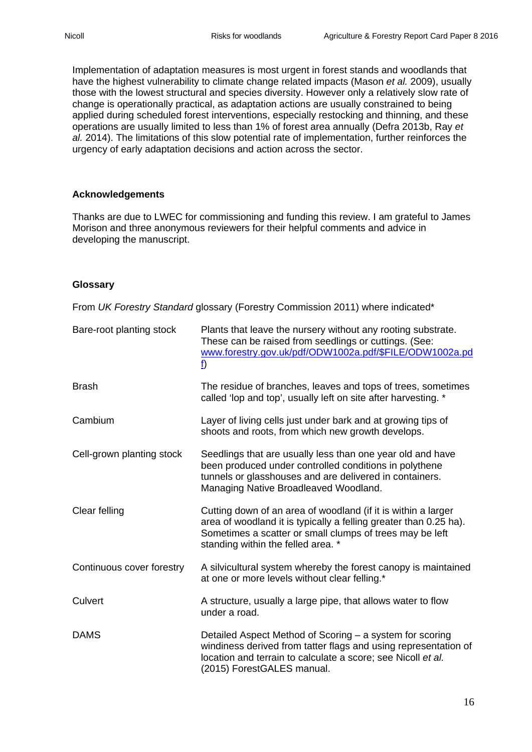Implementation of adaptation measures is most urgent in forest stands and woodlands that have the highest vulnerability to climate change related impacts (Mason *et al.* 2009), usually those with the lowest structural and species diversity. However only a relatively slow rate of change is operationally practical, as adaptation actions are usually constrained to being applied during scheduled forest interventions, especially restocking and thinning, and these operations are usually limited to less than 1% of forest area annually (Defra 2013b, Ray *et al.* 2014). The limitations of this slow potential rate of implementation, further reinforces the urgency of early adaptation decisions and action across the sector.

#### **Acknowledgements**

Thanks are due to LWEC for commissioning and funding this review. I am grateful to James Morison and three anonymous reviewers for their helpful comments and advice in developing the manuscript.

#### **Glossary**

From *UK Forestry Standard* glossary (Forestry Commission 2011) where indicated\*

| Bare-root planting stock  | Plants that leave the nursery without any rooting substrate.<br>These can be raised from seedlings or cuttings. (See:<br>www.forestry.gov.uk/pdf/ODW1002a.pdf/\$FILE/ODW1002a.pd<br>$\underline{\mathbf{f}}$                         |  |
|---------------------------|--------------------------------------------------------------------------------------------------------------------------------------------------------------------------------------------------------------------------------------|--|
| <b>Brash</b>              | The residue of branches, leaves and tops of trees, sometimes<br>called 'lop and top', usually left on site after harvesting. *                                                                                                       |  |
| Cambium                   | Layer of living cells just under bark and at growing tips of<br>shoots and roots, from which new growth develops.                                                                                                                    |  |
| Cell-grown planting stock | Seedlings that are usually less than one year old and have<br>been produced under controlled conditions in polythene<br>tunnels or glasshouses and are delivered in containers.<br>Managing Native Broadleaved Woodland.             |  |
| Clear felling             | Cutting down of an area of woodland (if it is within a larger<br>area of woodland it is typically a felling greater than 0.25 ha).<br>Sometimes a scatter or small clumps of trees may be left<br>standing within the felled area. * |  |
| Continuous cover forestry | A silvicultural system whereby the forest canopy is maintained<br>at one or more levels without clear felling.*                                                                                                                      |  |
| Culvert                   | A structure, usually a large pipe, that allows water to flow<br>under a road.                                                                                                                                                        |  |
| <b>DAMS</b>               | Detailed Aspect Method of Scoring – a system for scoring<br>windiness derived from tatter flags and using representation of<br>location and terrain to calculate a score; see Nicoll et al.<br>(2015) ForestGALES manual.            |  |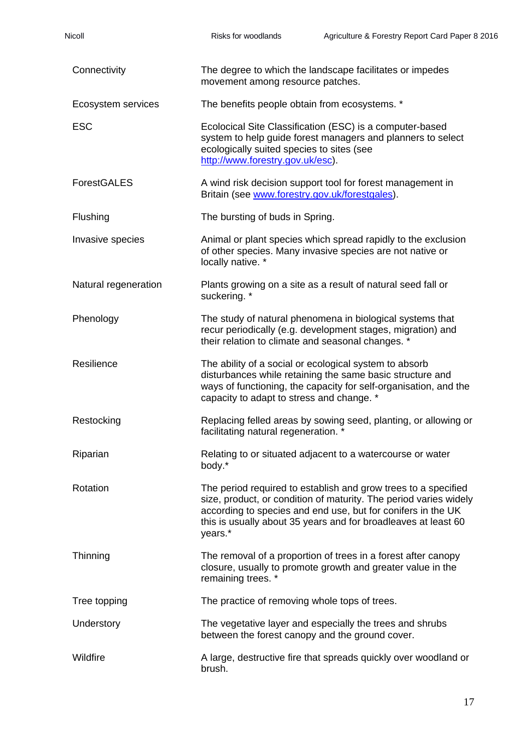| Nicoll               | Risks for woodlands                                                                                                                                                                                                                                                              | Agriculture & Forestry Report Card Paper 8 2016 |  |
|----------------------|----------------------------------------------------------------------------------------------------------------------------------------------------------------------------------------------------------------------------------------------------------------------------------|-------------------------------------------------|--|
| Connectivity         | The degree to which the landscape facilitates or impedes<br>movement among resource patches.                                                                                                                                                                                     |                                                 |  |
| Ecosystem services   | The benefits people obtain from ecosystems. *                                                                                                                                                                                                                                    |                                                 |  |
| <b>ESC</b>           | Ecolocical Site Classification (ESC) is a computer-based<br>system to help guide forest managers and planners to select<br>ecologically suited species to sites (see<br>http://www.forestry.gov.uk/esc).                                                                         |                                                 |  |
| <b>ForestGALES</b>   | A wind risk decision support tool for forest management in<br>Britain (see www.forestry.gov.uk/forestgales).                                                                                                                                                                     |                                                 |  |
| Flushing             | The bursting of buds in Spring.                                                                                                                                                                                                                                                  |                                                 |  |
| Invasive species     | Animal or plant species which spread rapidly to the exclusion<br>of other species. Many invasive species are not native or<br>locally native. *                                                                                                                                  |                                                 |  |
| Natural regeneration | Plants growing on a site as a result of natural seed fall or<br>suckering. *                                                                                                                                                                                                     |                                                 |  |
| Phenology            | The study of natural phenomena in biological systems that<br>recur periodically (e.g. development stages, migration) and<br>their relation to climate and seasonal changes. *                                                                                                    |                                                 |  |
| Resilience           | The ability of a social or ecological system to absorb<br>disturbances while retaining the same basic structure and<br>ways of functioning, the capacity for self-organisation, and the<br>capacity to adapt to stress and change. *                                             |                                                 |  |
| Restocking           | Replacing felled areas by sowing seed, planting, or allowing or<br>facilitating natural regeneration. *                                                                                                                                                                          |                                                 |  |
| Riparian             | Relating to or situated adjacent to a watercourse or water<br>body.*                                                                                                                                                                                                             |                                                 |  |
| Rotation             | The period required to establish and grow trees to a specified<br>size, product, or condition of maturity. The period varies widely<br>according to species and end use, but for conifers in the UK<br>this is usually about 35 years and for broadleaves at least 60<br>years.* |                                                 |  |
| Thinning             | The removal of a proportion of trees in a forest after canopy<br>closure, usually to promote growth and greater value in the<br>remaining trees. *                                                                                                                               |                                                 |  |
| Tree topping         | The practice of removing whole tops of trees.                                                                                                                                                                                                                                    |                                                 |  |
| Understory           | The vegetative layer and especially the trees and shrubs<br>between the forest canopy and the ground cover.                                                                                                                                                                      |                                                 |  |
| Wildfire             | A large, destructive fire that spreads quickly over woodland or<br>brush.                                                                                                                                                                                                        |                                                 |  |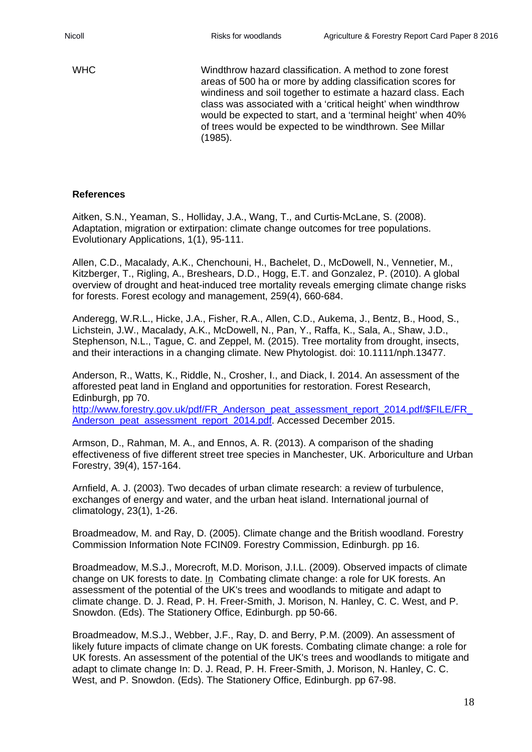WHC Windthrow hazard classification. A method to zone forest areas of 500 ha or more by adding classification scores for windiness and soil together to estimate a hazard class. Each class was associated with a 'critical height' when windthrow would be expected to start, and a 'terminal height' when 40% of trees would be expected to be windthrown. See Millar (1985).

#### **References**

Aitken, S.N., Yeaman, S., Holliday, J.A., Wang, T., and Curtis‐McLane, S. (2008). Adaptation, migration or extirpation: climate change outcomes for tree populations. Evolutionary Applications, 1(1), 95-111.

Allen, C.D., Macalady, A.K., Chenchouni, H., Bachelet, D., McDowell, N., Vennetier, M., Kitzberger, T., Rigling, A., Breshears, D.D., Hogg, E.T. and Gonzalez, P. (2010). A global overview of drought and heat-induced tree mortality reveals emerging climate change risks for forests. Forest ecology and management, 259(4), 660-684.

Anderegg, W.R.L., Hicke, J.A., Fisher, R.A., Allen, C.D., Aukema, J., Bentz, B., Hood, S., Lichstein, J.W., Macalady, A.K., McDowell, N., Pan, Y., Raffa, K., Sala, A., Shaw, J.D., Stephenson, N.L., Tague, C. and Zeppel, M. (2015). Tree mortality from drought, insects, and their interactions in a changing climate. New Phytologist. doi: 10.1111/nph.13477.

Anderson, R., Watts, K., Riddle, N., Crosher, I., and Diack, I. 2014. An assessment of the afforested peat land in England and opportunities for restoration. Forest Research, Edinburgh, pp 70.

http://www.forestry.gov.uk/pdf/FR\_Anderson\_peat\_assessment\_report\_2014.pdf/\$FILE/FR [Anderson\\_peat\\_assessment\\_report\\_2014.pdf.](http://www.forestry.gov.uk/pdf/FR_Anderson_peat_assessment_report_2014.pdf/$FILE/FR_Anderson_peat_assessment_report_2014.pdf) Accessed December 2015.

Armson, D., Rahman, M. A., and Ennos, A. R. (2013). A comparison of the shading effectiveness of five different street tree species in Manchester, UK. Arboriculture and Urban Forestry, 39(4), 157-164.

Arnfield, A. J. (2003). Two decades of urban climate research: a review of turbulence, exchanges of energy and water, and the urban heat island. International journal of climatology, 23(1), 1-26.

Broadmeadow, M. and Ray, D. (2005). Climate change and the British woodland. Forestry Commission Information Note FCIN09. Forestry Commission, Edinburgh. pp 16.

Broadmeadow, M.S.J., Morecroft, M.D. Morison, J.I.L. (2009). Observed impacts of climate change on UK forests to date. In Combating climate change: a role for UK forests. An assessment of the potential of the UK's trees and woodlands to mitigate and adapt to climate change. D. J. Read, P. H. Freer-Smith, J. Morison, N. Hanley, C. C. West, and P. Snowdon. (Eds). The Stationery Office, Edinburgh. pp 50-66.

Broadmeadow, M.S.J., Webber, J.F., Ray, D. and Berry, P.M. (2009). An assessment of likely future impacts of climate change on UK forests. Combating climate change: a role for UK forests. An assessment of the potential of the UK's trees and woodlands to mitigate and adapt to climate change In: D. J. Read, P. H. Freer-Smith, J. Morison, N. Hanley, C. C. West, and P. Snowdon. (Eds). The Stationery Office, Edinburgh. pp 67-98.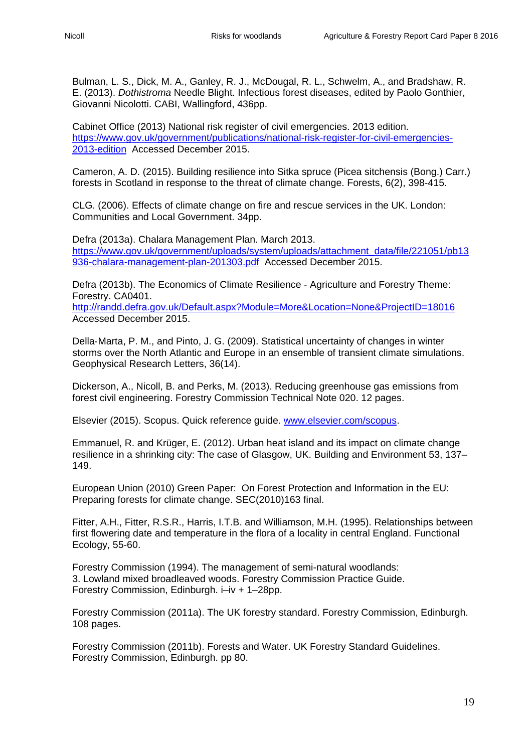Bulman, L. S., Dick, M. A., Ganley, R. J., McDougal, R. L., Schwelm, A., and Bradshaw, R. E. (2013). *Dothistroma* Needle Blight. Infectious forest diseases, edited by Paolo Gonthier, Giovanni Nicolotti. CABI, Wallingford, 436pp.

Cabinet Office (2013) National risk register of civil emergencies. 2013 edition. [https://www.gov.uk/government/publications/national-risk-register-for-civil-emergencies-](https://www.gov.uk/government/publications/national-risk-register-for-civil-emergencies-2013-edition)[2013-edition](https://www.gov.uk/government/publications/national-risk-register-for-civil-emergencies-2013-edition) Accessed December 2015.

Cameron, A. D. (2015). Building resilience into Sitka spruce (Picea sitchensis (Bong.) Carr.) forests in Scotland in response to the threat of climate change. Forests, 6(2), 398-415.

CLG. (2006). Effects of climate change on fire and rescue services in the UK. London: Communities and Local Government. 34pp.

Defra (2013a). Chalara Management Plan. March 2013. [https://www.gov.uk/government/uploads/system/uploads/attachment\\_data/file/221051/pb13](https://www.gov.uk/government/uploads/system/uploads/attachment_data/file/221051/pb13936-chalara-management-plan-201303.pdf) [936-chalara-management-plan-201303.pdf](https://www.gov.uk/government/uploads/system/uploads/attachment_data/file/221051/pb13936-chalara-management-plan-201303.pdf) Accessed December 2015.

Defra (2013b). The Economics of Climate Resilience - Agriculture and Forestry Theme: Forestry. CA0401.

<http://randd.defra.gov.uk/Default.aspx?Module=More&Location=None&ProjectID=18016> Accessed December 2015.

Della‐Marta, P. M., and Pinto, J. G. (2009). Statistical uncertainty of changes in winter storms over the North Atlantic and Europe in an ensemble of transient climate simulations. Geophysical Research Letters, 36(14).

Dickerson, A., Nicoll, B. and Perks, M. (2013). Reducing greenhouse gas emissions from forest civil engineering. Forestry Commission Technical Note 020. 12 pages.

Elsevier (2015). Scopus. Quick reference guide. [www.elsevier.com/scopus.](http://www.elsevier.com/scopus)

Emmanuel, R. and Krüger, E. (2012). Urban heat island and its impact on climate change resilience in a shrinking city: The case of Glasgow, UK. Building and Environment 53, 137– 149.

European Union (2010) Green Paper: On Forest Protection and Information in the EU: Preparing forests for climate change. SEC(2010)163 final.

Fitter, A.H., Fitter, R.S.R., Harris, I.T.B. and Williamson, M.H. (1995). Relationships between first flowering date and temperature in the flora of a locality in central England. Functional Ecology, 55-60.

Forestry Commission (1994). The management of semi-natural woodlands: 3. Lowland mixed broadleaved woods. Forestry Commission Practice Guide. Forestry Commission, Edinburgh. i–iv + 1–28pp.

Forestry Commission (2011a). The UK forestry standard. Forestry Commission, Edinburgh. 108 pages.

Forestry Commission (2011b). Forests and Water. UK Forestry Standard Guidelines. Forestry Commission, Edinburgh. pp 80.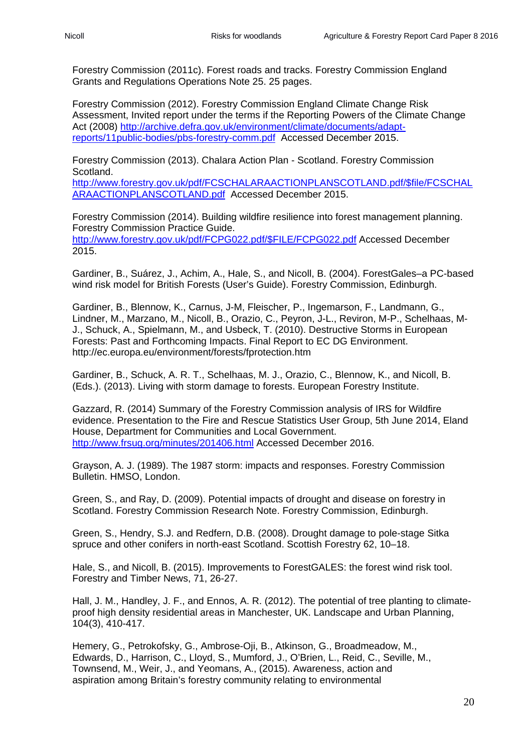Forestry Commission (2011c). Forest roads and tracks. Forestry Commission England Grants and Regulations Operations Note 25. 25 pages.

Forestry Commission (2012). Forestry Commission England Climate Change Risk Assessment, Invited report under the terms if the Reporting Powers of the Climate Change Act (2008) [http://archive.defra.gov.uk/environment/climate/documents/adapt](http://archive.defra.gov.uk/environment/climate/documents/adapt-reports/11public-bodies/pbs-forestry-comm.pdf)[reports/11public-bodies/pbs-forestry-comm.pdf](http://archive.defra.gov.uk/environment/climate/documents/adapt-reports/11public-bodies/pbs-forestry-comm.pdf) Accessed December 2015.

Forestry Commission (2013). Chalara Action Plan - Scotland. Forestry Commission Scotland. [http://www.forestry.gov.uk/pdf/FCSCHALARAACTIONPLANSCOTLAND.pdf/\\$file/FCSCHAL](http://www.forestry.gov.uk/pdf/FCSCHALARAACTIONPLANSCOTLAND.pdf/$file/FCSCHALARAACTIONPLANSCOTLAND.pdf)

[ARAACTIONPLANSCOTLAND.pdf](http://www.forestry.gov.uk/pdf/FCSCHALARAACTIONPLANSCOTLAND.pdf/$file/FCSCHALARAACTIONPLANSCOTLAND.pdf) Accessed December 2015.

Forestry Commission (2014). Building wildfire resilience into forest management planning. Forestry Commission Practice Guide. [http://www.forestry.gov.uk/pdf/FCPG022.pdf/\\$FILE/FCPG022.pdf](http://www.forestry.gov.uk/pdf/FCPG022.pdf/$FILE/FCPG022.pdf) Accessed December 2015.

Gardiner, B., Suárez, J., Achim, A., Hale, S., and Nicoll, B. (2004). ForestGales–a PC-based wind risk model for British Forests (User's Guide). Forestry Commission, Edinburgh.

Gardiner, B., Blennow, K., Carnus, J-M, Fleischer, P., Ingemarson, F., Landmann, G., Lindner, M., Marzano, M., Nicoll, B., Orazio, C., Peyron, J-L., Reviron, M-P., Schelhaas, M-J., Schuck, A., Spielmann, M., and Usbeck, T. (2010). Destructive Storms in European Forests: Past and Forthcoming Impacts. Final Report to EC DG Environment. http://ec.europa.eu/environment/forests/fprotection.htm

Gardiner, B., Schuck, A. R. T., Schelhaas, M. J., Orazio, C., Blennow, K., and Nicoll, B. (Eds.). (2013). Living with storm damage to forests. European Forestry Institute.

Gazzard, R. (2014) Summary of the Forestry Commission analysis of IRS for Wildfire evidence. Presentation to the Fire and Rescue Statistics User Group, 5th June 2014, Eland House, Department for Communities and Local Government. <http://www.frsug.org/minutes/201406.html> Accessed December 2016.

Grayson, A. J. (1989). The 1987 storm: impacts and responses. Forestry Commission Bulletin. HMSO, London.

Green, S., and Ray, D. (2009). Potential impacts of drought and disease on forestry in Scotland. Forestry Commission Research Note. Forestry Commission, Edinburgh.

Green, S., Hendry, S.J. and Redfern, D.B. (2008). Drought damage to pole-stage Sitka spruce and other conifers in north-east Scotland. Scottish Forestry 62, 10–18.

Hale, S., and Nicoll, B. (2015). Improvements to ForestGALES: the forest wind risk tool. Forestry and Timber News, 71, 26-27.

Hall, J. M., Handley, J. F., and Ennos, A. R. (2012). The potential of tree planting to climateproof high density residential areas in Manchester, UK. Landscape and Urban Planning, 104(3), 410-417.

Hemery, G., Petrokofsky, G., Ambrose-Oji, B., Atkinson, G., Broadmeadow, M., Edwards, D., Harrison, C., Lloyd, S., Mumford, J., O'Brien, L., Reid, C., Seville, M., Townsend, M., Weir, J., and Yeomans, A., (2015). Awareness, action and aspiration among Britain's forestry community relating to environmental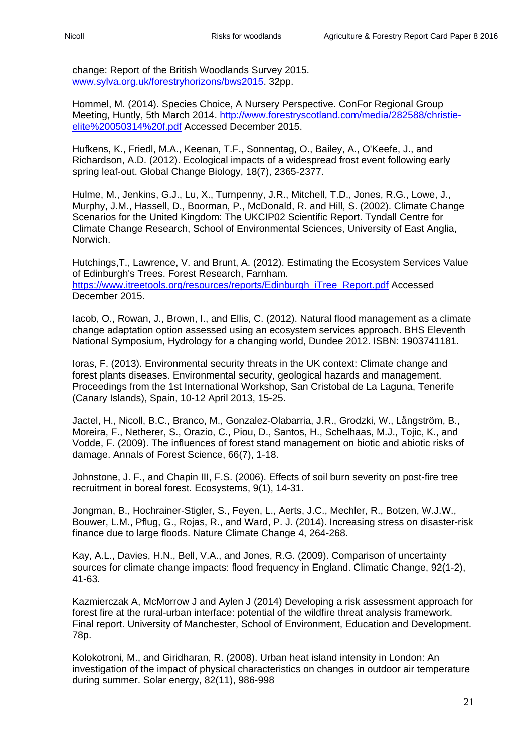change: Report of the British Woodlands Survey 2015. [www.sylva.org.uk/forestryhorizons/bws2015.](http://www.sylva.org.uk/forestryhorizons/bws2015) 32pp.

Hommel, M. (2014). Species Choice, A Nursery Perspective. ConFor Regional Group Meeting, Huntly, 5th March 2014. [http://www.forestryscotland.com/media/282588/christie](http://www.forestryscotland.com/media/282588/christie-elite%20050314%20f.pdf)[elite%20050314%20f.pdf](http://www.forestryscotland.com/media/282588/christie-elite%20050314%20f.pdf) Accessed December 2015.

Hufkens, K., Friedl, M.A., Keenan, T.F., Sonnentag, O., Bailey, A., O'Keefe, J., and Richardson, A.D. (2012). Ecological impacts of a widespread frost event following early spring leaf-out. Global Change Biology, 18(7), 2365-2377.

Hulme, M., Jenkins, G.J., Lu, X., Turnpenny, J.R., Mitchell, T.D., Jones, R.G., Lowe, J., Murphy, J.M., Hassell, D., Boorman, P., McDonald, R. and Hill, S. (2002). Climate Change Scenarios for the United Kingdom: The UKCIP02 Scientific Report. Tyndall Centre for Climate Change Research, School of Environmental Sciences, University of East Anglia, Norwich.

Hutchings,T., Lawrence, V. and Brunt, A. (2012). Estimating the Ecosystem Services Value of Edinburgh's Trees. Forest Research, Farnham. [https://www.itreetools.org/resources/reports/Edinburgh\\_iTree\\_Report.pdf](https://www.itreetools.org/resources/reports/Edinburgh_iTree_Report.pdf) Accessed December 2015.

Iacob, O., Rowan, J., Brown, I., and Ellis, C. (2012). Natural flood management as a climate change adaptation option assessed using an ecosystem services approach. BHS Eleventh National Symposium, Hydrology for a changing world, Dundee 2012. ISBN: 1903741181.

Ioras, F. (2013). Environmental security threats in the UK context: Climate change and forest plants diseases. Environmental security, geological hazards and management. Proceedings from the 1st International Workshop, San Cristobal de La Laguna, Tenerife (Canary Islands), Spain, 10-12 April 2013, 15-25.

Jactel, H., Nicoll, B.C., Branco, M., Gonzalez-Olabarria, J.R., Grodzki, W., Långström, B., Moreira, F., Netherer, S., Orazio, C., Piou, D., Santos, H., Schelhaas, M.J., Tojic, K., and Vodde, F. (2009). The influences of forest stand management on biotic and abiotic risks of damage. Annals of Forest Science, 66(7), 1-18.

Johnstone, J. F., and Chapin III, F.S. (2006). Effects of soil burn severity on post-fire tree recruitment in boreal forest. Ecosystems, 9(1), 14-31.

Jongman, B., Hochrainer-Stigler, S., Feyen, L., Aerts, J.C., Mechler, R., Botzen, W.J.W., Bouwer, L.M., Pflug, G., Rojas, R., and Ward, P. J. (2014). Increasing stress on disaster-risk finance due to large floods. Nature Climate Change 4, 264-268.

Kay, A.L., Davies, H.N., Bell, V.A., and Jones, R.G. (2009). Comparison of uncertainty sources for climate change impacts: flood frequency in England. Climatic Change, 92(1-2), 41-63.

Kazmierczak A, McMorrow J and Aylen J (2014) Developing a risk assessment approach for forest fire at the rural-urban interface: potential of the wildfire threat analysis framework. Final report. University of Manchester, School of Environment, Education and Development. 78p.

Kolokotroni, M., and Giridharan, R. (2008). Urban heat island intensity in London: An investigation of the impact of physical characteristics on changes in outdoor air temperature during summer. Solar energy, 82(11), 986-998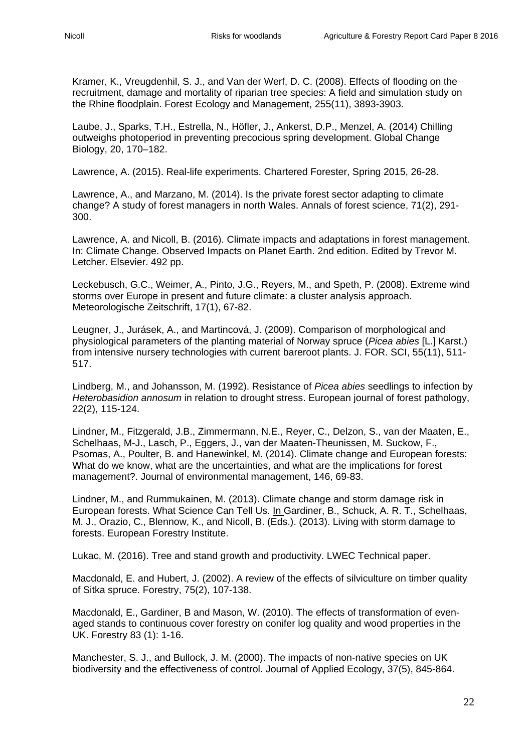Kramer, K., Vreugdenhil, S. J., and Van der Werf, D. C. (2008). Effects of flooding on the recruitment, damage and mortality of riparian tree species: A field and simulation study on the Rhine floodplain. Forest Ecology and Management, 255(11), 3893-3903.

Laube, J., Sparks, T.H., Estrella, N., Höfler, J., Ankerst, D.P., Menzel, A. (2014) Chilling outweighs photoperiod in preventing precocious spring development. Global Change Biology, 20, 170–182.

Lawrence, A. (2015). Real-life experiments. Chartered Forester, Spring 2015, 26-28.

Lawrence, A., and Marzano, M. (2014). Is the private forest sector adapting to climate change? A study of forest managers in north Wales. Annals of forest science, 71(2), 291- 300.

Lawrence, A. and Nicoll, B. (2016). Climate impacts and adaptations in forest management. In: Climate Change. Observed Impacts on Planet Earth. 2nd edition. Edited by Trevor M. Letcher. Elsevier. 492 pp.

Leckebusch, G.C., Weimer, A., Pinto, J.G., Reyers, M., and Speth, P. (2008). Extreme wind storms over Europe in present and future climate: a cluster analysis approach. Meteorologische Zeitschrift, 17(1), 67-82.

Leugner, J., Jurásek, A., and Martincová, J. (2009). Comparison of morphological and physiological parameters of the planting material of Norway spruce (*Picea abies* [L.] Karst.) from intensive nursery technologies with current bareroot plants. J. FOR. SCI, 55(11), 511- 517.

Lindberg, M., and Johansson, M. (1992). Resistance of *Picea abies* seedlings to infection by *Heterobasidion annosum* in relation to drought stress. European journal of forest pathology, 22(2), 115-124.

Lindner, M., Fitzgerald, J.B., Zimmermann, N.E., Reyer, C., Delzon, S., van der Maaten, E., Schelhaas, M-J., Lasch, P., Eggers, J., van der Maaten-Theunissen, M. Suckow, F., Psomas, A., Poulter, B. and Hanewinkel, M. (2014). Climate change and European forests: What do we know, what are the uncertainties, and what are the implications for forest management?. Journal of environmental management, 146, 69-83.

Lindner, M., and Rummukainen, M. (2013). Climate change and storm damage risk in European forests. What Science Can Tell Us. In Gardiner, B., Schuck, A. R. T., Schelhaas, M. J., Orazio, C., Blennow, K., and Nicoll, B. (Eds.). (2013). Living with storm damage to forests. European Forestry Institute.

Lukac, M. (2016). Tree and stand growth and productivity. LWEC Technical paper.

Macdonald, E. and Hubert, J. (2002). A review of the effects of silviculture on timber quality of Sitka spruce. Forestry, 75(2), 107-138.

Macdonald, E., Gardiner, B and Mason, W. (2010). The effects of transformation of evenaged stands to continuous cover forestry on conifer log quality and wood properties in the UK. Forestry 83 (1): 1-16.

Manchester, S. J., and Bullock, J. M. (2000). The impacts of non‐native species on UK biodiversity and the effectiveness of control. Journal of Applied Ecology, 37(5), 845-864.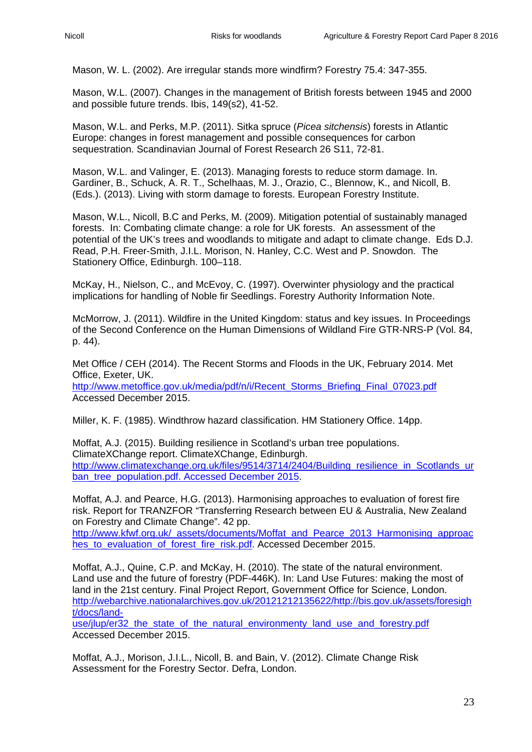Mason, W. L. (2002). Are irregular stands more windfirm? Forestry 75.4: 347-355.

Mason, W.L. (2007). Changes in the management of British forests between 1945 and 2000 and possible future trends. Ibis, 149(s2), 41-52.

Mason, W.L. and Perks, M.P. (2011). Sitka spruce (*Picea sitchensis*) forests in Atlantic Europe: changes in forest management and possible consequences for carbon sequestration. Scandinavian Journal of Forest Research 26 S11, 72-81.

Mason, W.L. and Valinger, E. (2013). Managing forests to reduce storm damage. In. Gardiner, B., Schuck, A. R. T., Schelhaas, M. J., Orazio, C., Blennow, K., and Nicoll, B. (Eds.). (2013). Living with storm damage to forests. European Forestry Institute.

Mason, W.L., Nicoll, B.C and Perks, M. (2009). Mitigation potential of sustainably managed forests. In: Combating climate change: a role for UK forests. An assessment of the potential of the UK's trees and woodlands to mitigate and adapt to climate change. Eds D.J. Read, P.H. Freer-Smith, J.I.L. Morison, N. Hanley, C.C. West and P. Snowdon. The Stationery Office, Edinburgh. 100–118.

McKay, H., Nielson, C., and McEvoy, C. (1997). Overwinter physiology and the practical implications for handling of Noble fir Seedlings. Forestry Authority Information Note.

McMorrow, J. (2011). Wildfire in the United Kingdom: status and key issues. In Proceedings of the Second Conference on the Human Dimensions of Wildland Fire GTR-NRS-P (Vol. 84, p. 44).

Met Office / CEH (2014). The Recent Storms and Floods in the UK, February 2014. Met Office, Exeter, UK.

[http://www.metoffice.gov.uk/media/pdf/n/i/Recent\\_Storms\\_Briefing\\_Final\\_07023.pdf](http://www.metoffice.gov.uk/media/pdf/n/i/Recent_Storms_Briefing_Final_07023.pdf) Accessed December 2015.

Miller, K. F. (1985). Windthrow hazard classification. HM Stationery Office. 14pp.

Moffat, A.J. (2015). Building resilience in Scotland's urban tree populations. ClimateXChange report. ClimateXChange, Edinburgh. [http://www.climatexchange.org.uk/files/9514/3714/2404/Building\\_resilience\\_in\\_Scotlands\\_ur](http://www.climatexchange.org.uk/files/9514/3714/2404/Building_resilience_in_Scotlands_urban_tree_population.pdf.%20Accessed%20December%202015) [ban\\_tree\\_population.pdf. Accessed December 2015.](http://www.climatexchange.org.uk/files/9514/3714/2404/Building_resilience_in_Scotlands_urban_tree_population.pdf.%20Accessed%20December%202015)

Moffat, A.J. and Pearce, H.G. (2013). Harmonising approaches to evaluation of forest fire risk. Report for TRANZFOR "Transferring Research between EU & Australia, New Zealand on Forestry and Climate Change". 42 pp.

[http://www.kfwf.org.uk/\\_assets/documents/Moffat\\_and\\_Pearce\\_2013\\_Harmonising\\_approac](http://www.kfwf.org.uk/_assets/documents/Moffat_and_Pearce_2013_Harmonising_approaches_to_evaluation_of_forest_fire_risk.pdf) hes to evaluation of forest fire risk.pdf. Accessed December 2015.

Moffat, A.J., Quine, C.P. and McKay, H. (2010). The state of the natural environment. Land use and the future of forestry (PDF-446K). In: Land Use Futures: making the most of land in the 21st century. Final Project Report, Government Office for Science, London. [http://webarchive.nationalarchives.gov.uk/20121212135622/http://bis.gov.uk/assets/foresigh](http://webarchive.nationalarchives.gov.uk/20121212135622/http:/bis.gov.uk/assets/foresight/docs/land-use/jlup/er32_the_state_of_the_natural_environmenty_land_use_and_forestry.pdf) [t/docs/land-](http://webarchive.nationalarchives.gov.uk/20121212135622/http:/bis.gov.uk/assets/foresight/docs/land-use/jlup/er32_the_state_of_the_natural_environmenty_land_use_and_forestry.pdf)

use/jlup/er32 the state of the natural environmenty land use and forestry.pdf Accessed December 2015.

Moffat, A.J., Morison, J.I.L., Nicoll, B. and Bain, V. (2012). Climate Change Risk Assessment for the Forestry Sector. Defra, London.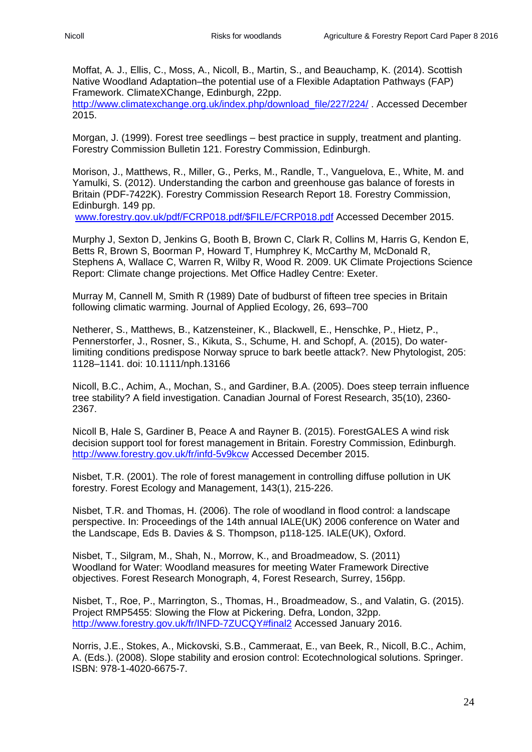Moffat, A. J., Ellis, C., Moss, A., Nicoll, B., Martin, S., and Beauchamp, K. (2014). Scottish Native Woodland Adaptation–the potential use of a Flexible Adaptation Pathways (FAP) Framework. ClimateXChange, Edinburgh, 22pp. [http://www.climatexchange.org.uk/index.php/download\\_file/227/224/](http://www.climatexchange.org.uk/index.php/download_file/227/224/) . Accessed December 2015.

Morgan, J. (1999). Forest tree seedlings – best practice in supply, treatment and planting. Forestry Commission Bulletin 121. Forestry Commission, Edinburgh.

Morison, J., Matthews, R., Miller, G., Perks, M., Randle, T., Vanguelova, E., White, M. and Yamulki, S. (2012). Understanding the carbon and greenhouse gas balance of forests in Britain (PDF-7422K). Forestry Commission Research Report 18. Forestry Commission, Edinburgh. 149 pp.

[www.forestry.gov.uk/pdf/FCRP018.pdf/\\$FILE/FCRP018.pdf](http://www.forestry.gov.uk/pdf/FCRP018.pdf/$FILE/FCRP018.pdf) Accessed December 2015.

Murphy J, Sexton D, Jenkins G, Booth B, Brown C, Clark R, Collins M, Harris G, Kendon E, Betts R, Brown S, Boorman P, Howard T, Humphrey K, McCarthy M, McDonald R, Stephens A, Wallace C, Warren R, Wilby R, Wood R. 2009. UK Climate Projections Science Report: Climate change projections. Met Office Hadley Centre: Exeter.

Murray M, Cannell M, Smith R (1989) Date of budburst of fifteen tree species in Britain following climatic warming. Journal of Applied Ecology, 26, 693–700

Netherer, S., Matthews, B., Katzensteiner, K., Blackwell, E., Henschke, P., Hietz, P., Pennerstorfer, J., Rosner, S., Kikuta, S., Schume, H. and Schopf, A. (2015), Do waterlimiting conditions predispose Norway spruce to bark beetle attack?. New Phytologist, 205: 1128–1141. doi: 10.1111/nph.13166

Nicoll, B.C., Achim, A., Mochan, S., and Gardiner, B.A. (2005). Does steep terrain influence tree stability? A field investigation. Canadian Journal of Forest Research, 35(10), 2360- 2367.

Nicoll B, Hale S, Gardiner B, Peace A and Rayner B. (2015). ForestGALES A wind risk decision support tool for forest management in Britain. Forestry Commission, Edinburgh. <http://www.forestry.gov.uk/fr/infd-5v9kcw> Accessed December 2015.

Nisbet, T.R. (2001). The role of forest management in controlling diffuse pollution in UK forestry. Forest Ecology and Management, 143(1), 215-226.

Nisbet, T.R. and Thomas, H. (2006). The role of woodland in flood control: a landscape perspective. In: Proceedings of the 14th annual IALE(UK) 2006 conference on Water and the Landscape, Eds B. Davies & S. Thompson, p118-125. IALE(UK), Oxford.

Nisbet, T., Silgram, M., Shah, N., Morrow, K., and Broadmeadow, S. (2011) Woodland for Water: Woodland measures for meeting Water Framework Directive objectives. Forest Research Monograph, 4, Forest Research, Surrey, 156pp.

Nisbet, T., Roe, P., Marrington, S., Thomas, H., Broadmeadow, S., and Valatin, G. (2015). Project RMP5455: Slowing the Flow at Pickering. Defra, London, 32pp. [http://www.forestry.gov.uk/fr/INFD-7ZUCQY#final2](http://www.forestry.gov.uk/fr/INFD-7ZUCQY%23final2) Accessed January 2016.

Norris, J.E., Stokes, A., Mickovski, S.B., Cammeraat, E., van Beek, R., Nicoll, B.C., Achim, A. (Eds.). (2008). Slope stability and erosion control: Ecotechnological solutions. Springer. ISBN: 978-1-4020-6675-7.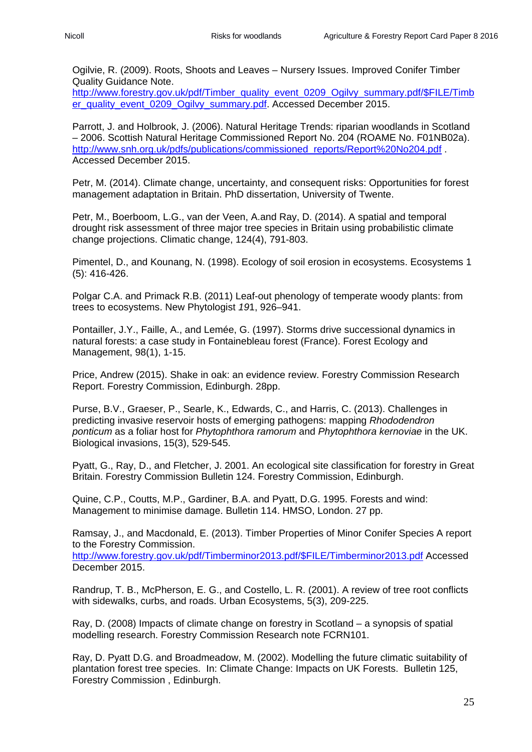Ogilvie, R. (2009). Roots, Shoots and Leaves – Nursery Issues. Improved Conifer Timber Quality Guidance Note.

[http://www.forestry.gov.uk/pdf/Timber\\_quality\\_event\\_0209\\_Ogilvy\\_summary.pdf/\\$FILE/Timb](http://www.forestry.gov.uk/pdf/Timber_quality_event_0209_Ogilvy_summary.pdf/$FILE/Timber_quality_event_0209_Ogilvy_summary.pdf) [er\\_quality\\_event\\_0209\\_Ogilvy\\_summary.pdf.](http://www.forestry.gov.uk/pdf/Timber_quality_event_0209_Ogilvy_summary.pdf/$FILE/Timber_quality_event_0209_Ogilvy_summary.pdf) Accessed December 2015.

Parrott, J. and Holbrook, J. (2006). Natural Heritage Trends: riparian woodlands in Scotland – 2006. Scottish Natural Heritage Commissioned Report No. 204 (ROAME No. F01NB02a). [http://www.snh.org.uk/pdfs/publications/commissioned\\_reports/Report%20No204.pdf](http://www.snh.org.uk/pdfs/publications/commissioned_reports/Report%20No204.pdf) Accessed December 2015.

Petr, M. (2014). Climate change, uncertainty, and consequent risks: Opportunities for forest management adaptation in Britain. PhD dissertation, University of Twente.

Petr, M., Boerboom, L.G., van der Veen, A.and Ray, D. (2014). A spatial and temporal drought risk assessment of three major tree species in Britain using probabilistic climate change projections. Climatic change, 124(4), 791-803.

Pimentel, D., and Kounang, N. (1998). Ecology of soil erosion in ecosystems. Ecosystems 1 (5): 416-426.

Polgar C.A. and Primack R.B. (2011) Leaf-out phenology of temperate woody plants: from trees to ecosystems. New Phytologist *19*1, 926–941.

Pontailler, J.Y., Faille, A., and Lemée, G. (1997). Storms drive successional dynamics in natural forests: a case study in Fontainebleau forest (France). Forest Ecology and Management, 98(1), 1-15.

Price, Andrew (2015). Shake in oak: an evidence review. Forestry Commission Research Report. Forestry Commission, Edinburgh. 28pp.

Purse, B.V., Graeser, P., Searle, K., Edwards, C., and Harris, C. (2013). Challenges in predicting invasive reservoir hosts of emerging pathogens: mapping *Rhododendron ponticum* as a foliar host for *Phytophthora ramorum* and *Phytophthora kernoviae* in the UK. Biological invasions, 15(3), 529-545.

Pyatt, G., Ray, D., and Fletcher, J. 2001. An ecological site classification for forestry in Great Britain. Forestry Commission Bulletin 124. Forestry Commission, Edinburgh.

Quine, C.P., Coutts, M.P., Gardiner, B.A. and Pyatt, D.G. 1995. Forests and wind: Management to minimise damage. Bulletin 114. HMSO, London. 27 pp.

Ramsay, J., and Macdonald, E. (2013). Timber Properties of Minor Conifer Species A report to the Forestry Commission.

[http://www.forestry.gov.uk/pdf/Timberminor2013.pdf/\\$FILE/Timberminor2013.pdf](http://www.forestry.gov.uk/pdf/Timberminor2013.pdf/$FILE/Timberminor2013.pdf) Accessed December 2015.

Randrup, T. B., McPherson, E. G., and Costello, L. R. (2001). A review of tree root conflicts with sidewalks, curbs, and roads. Urban Ecosystems, 5(3), 209-225.

Ray, D. (2008) Impacts of climate change on forestry in Scotland – a synopsis of spatial modelling research. Forestry Commission Research note FCRN101.

Ray, D. Pyatt D.G. and Broadmeadow, M. (2002). Modelling the future climatic suitability of plantation forest tree species. In: Climate Change: Impacts on UK Forests. Bulletin 125, Forestry Commission , Edinburgh.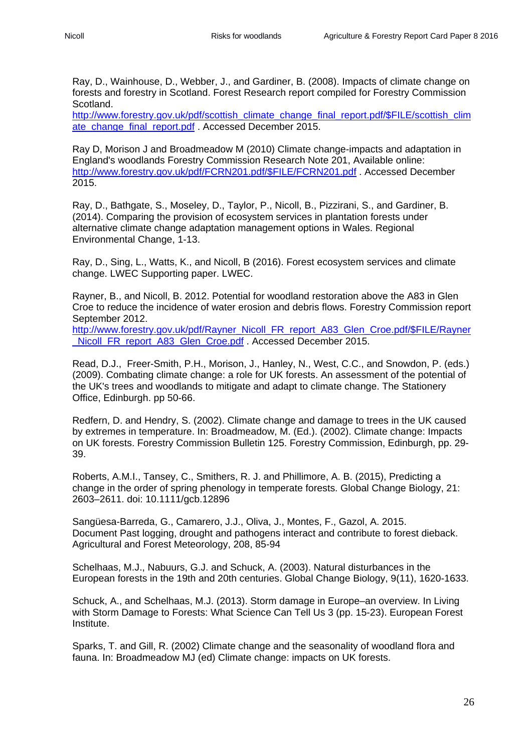Ray, D., Wainhouse, D., Webber, J., and Gardiner, B. (2008). Impacts of climate change on forests and forestry in Scotland. Forest Research report compiled for Forestry Commission Scotland.

[http://www.forestry.gov.uk/pdf/scottish\\_climate\\_change\\_final\\_report.pdf/\\$FILE/scottish\\_clim](http://www.forestry.gov.uk/pdf/scottish_climate_change_final_report.pdf/$FILE/scottish_climate_change_final_report.pdf) [ate\\_change\\_final\\_report.pdf](http://www.forestry.gov.uk/pdf/scottish_climate_change_final_report.pdf/$FILE/scottish_climate_change_final_report.pdf) . Accessed December 2015.

Ray D, Morison J and Broadmeadow M (2010) Climate change-impacts and adaptation in England's woodlands Forestry Commission Research Note 201, Available online: [http://www.forestry.gov.uk/pdf/FCRN201.pdf/\\$FILE/FCRN201.pdf](http://www.forestry.gov.uk/pdf/FCRN201.pdf/$FILE/FCRN201.pdf) . Accessed December 2015.

Ray, D., Bathgate, S., Moseley, D., Taylor, P., Nicoll, B., Pizzirani, S., and Gardiner, B. (2014). Comparing the provision of ecosystem services in plantation forests under alternative climate change adaptation management options in Wales. Regional Environmental Change, 1-13.

Ray, D., Sing, L., Watts, K., and Nicoll, B (2016). Forest ecosystem services and climate change. LWEC Supporting paper. LWEC.

Rayner, B., and Nicoll, B. 2012. Potential for woodland restoration above the A83 in Glen Croe to reduce the incidence of water erosion and debris flows. Forestry Commission report September 2012.

[http://www.forestry.gov.uk/pdf/Rayner\\_Nicoll\\_FR\\_report\\_A83\\_Glen\\_Croe.pdf/\\$FILE/Rayner](http://www.forestry.gov.uk/pdf/Rayner_Nicoll_FR_report_A83_Glen_Croe.pdf/$FILE/Rayner_Nicoll_FR_report_A83_Glen_Croe.pdf) Nicoll FR\_report\_A83\_Glen\_Croe.pdf . Accessed December 2015.

Read, D.J., Freer-Smith, P.H., Morison, J., Hanley, N., West, C.C., and Snowdon, P. (eds.) (2009). Combating climate change: a role for UK forests. An assessment of the potential of the UK's trees and woodlands to mitigate and adapt to climate change. The Stationery Office, Edinburgh. pp 50-66.

Redfern, D. and Hendry, S. (2002). Climate change and damage to trees in the UK caused by extremes in temperature. In: Broadmeadow, M. (Ed.). (2002). Climate change: Impacts on UK forests. Forestry Commission Bulletin 125. Forestry Commission, Edinburgh, pp. 29- 39.

Roberts, A.M.I., Tansey, C., Smithers, R. J. and Phillimore, A. B. (2015), Predicting a change in the order of spring phenology in temperate forests. Global Change Biology, 21: 2603–2611. doi: 10.1111/gcb.12896

Sangüesa-Barreda, G., Camarero, J.J., Oliva, J., Montes, F., Gazol, A. 2015. Document Past logging, drought and pathogens interact and contribute to forest dieback. Agricultural and Forest Meteorology, 208, 85-94

Schelhaas, M.J., Nabuurs, G.J. and Schuck, A. (2003). Natural disturbances in the European forests in the 19th and 20th centuries. Global Change Biology, 9(11), 1620-1633.

Schuck, A., and Schelhaas, M.J. (2013). Storm damage in Europe–an overview. In Living with Storm Damage to Forests: What Science Can Tell Us 3 (pp. 15-23). European Forest Institute.

Sparks, T. and Gill, R. (2002) Climate change and the seasonality of woodland flora and fauna. In: Broadmeadow MJ (ed) Climate change: impacts on UK forests.